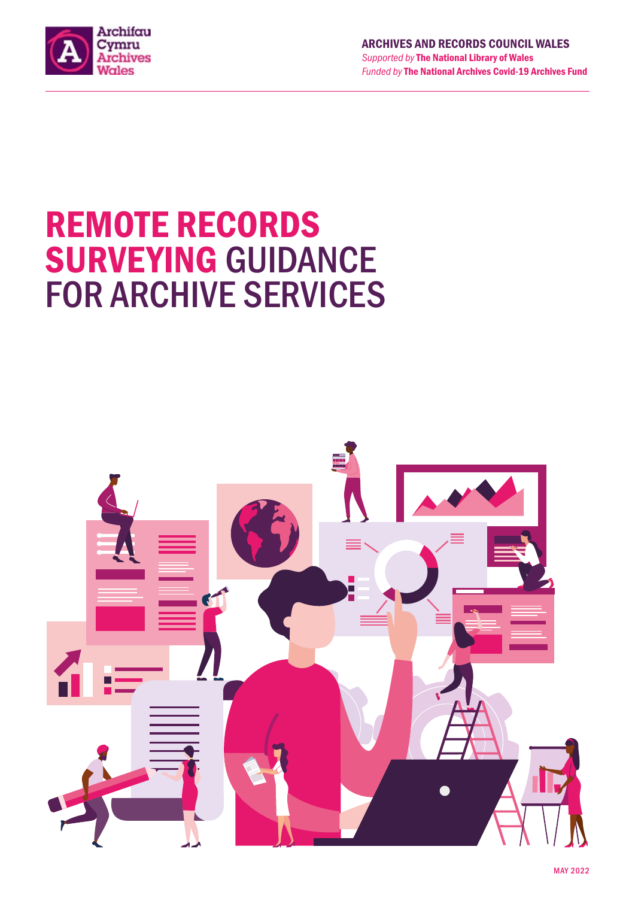

# REMOTE RECORDS SURVEYING GUIDANCE FOR ARCHIVE SERVICES

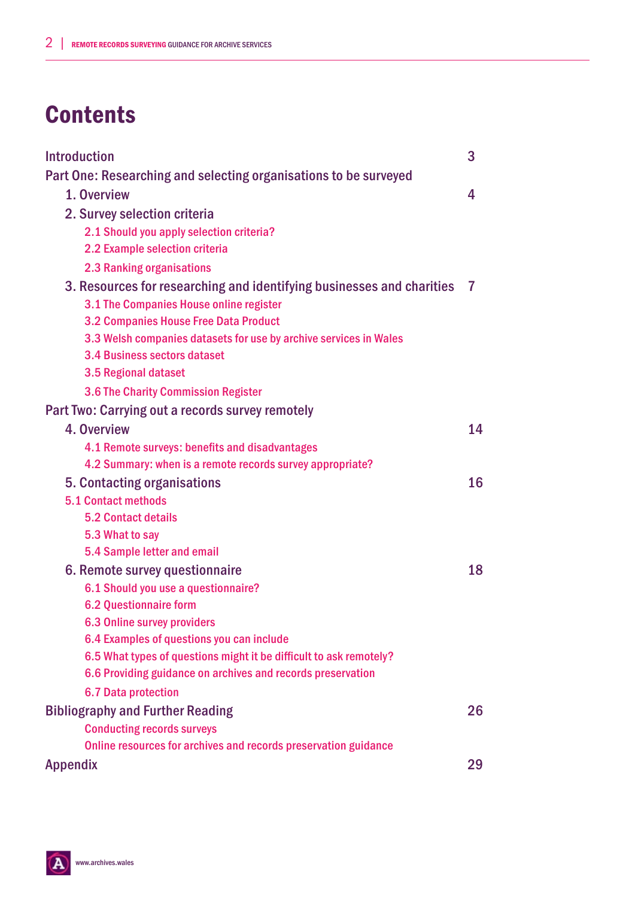# **Contents**

| <b>Introduction</b>                                                   | 3  |
|-----------------------------------------------------------------------|----|
| Part One: Researching and selecting organisations to be surveyed      |    |
| 1. Overview                                                           | 4  |
| 2. Survey selection criteria                                          |    |
| 2.1 Should you apply selection criteria?                              |    |
| 2.2 Example selection criteria                                        |    |
| <b>2.3 Ranking organisations</b>                                      |    |
| 3. Resources for researching and identifying businesses and charities | 7  |
| 3.1 The Companies House online register                               |    |
| 3.2 Companies House Free Data Product                                 |    |
| 3.3 Welsh companies datasets for use by archive services in Wales     |    |
| 3.4 Business sectors dataset                                          |    |
| 3.5 Regional dataset                                                  |    |
| 3.6 The Charity Commission Register                                   |    |
| Part Two: Carrying out a records survey remotely                      |    |
| 4. Overview                                                           | 14 |
| 4.1 Remote surveys: benefits and disadvantages                        |    |
| 4.2 Summary: when is a remote records survey appropriate?             |    |
| 5. Contacting organisations                                           | 16 |
| <b>5.1 Contact methods</b>                                            |    |
| <b>5.2 Contact details</b>                                            |    |
| 5.3 What to say                                                       |    |
| 5.4 Sample letter and email                                           |    |
| 6. Remote survey questionnaire                                        | 18 |
| 6.1 Should you use a questionnaire?                                   |    |
| <b>6.2 Questionnaire form</b>                                         |    |
| 6.3 Online survey providers                                           |    |
| 6.4 Examples of questions you can include                             |    |
| 6.5 What types of questions might it be difficult to ask remotely?    |    |
| 6.6 Providing guidance on archives and records preservation           |    |
| <b>6.7 Data protection</b>                                            |    |
| <b>Bibliography and Further Reading</b>                               | 26 |
| <b>Conducting records surveys</b>                                     |    |
| Online resources for archives and records preservation guidance       |    |
| Appendix                                                              | 29 |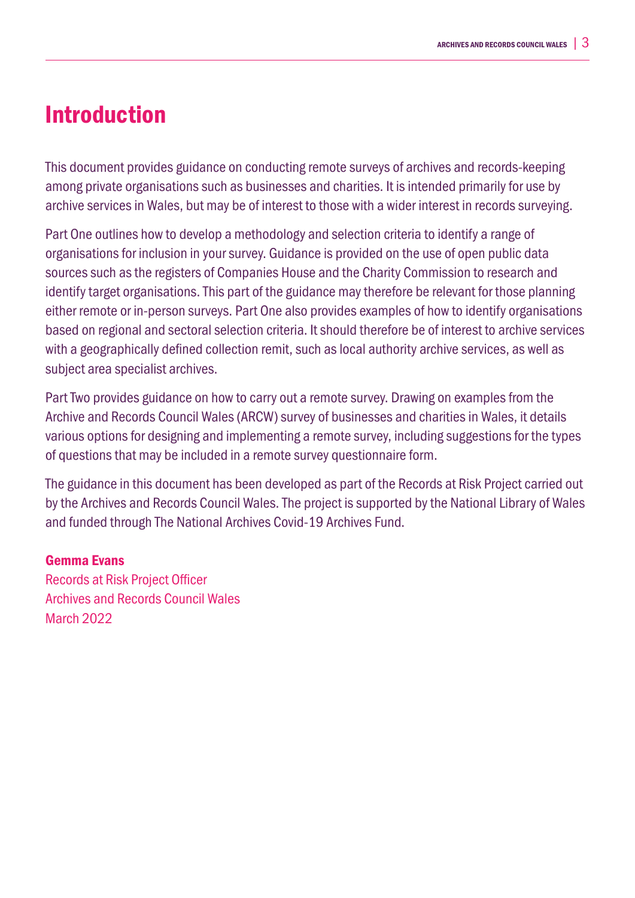## Introduction

This document provides guidance on conducting remote surveys of archives and records-keeping among private organisations such as businesses and charities. It is intended primarily for use by archive services in Wales, but may be of interest to those with a wider interest in records surveying.

Part One outlines how to develop a methodology and selection criteria to identify a range of organisations for inclusion in your survey. Guidance is provided on the use of open public data sources such as the registers of Companies House and the Charity Commission to research and identify target organisations. This part of the guidance may therefore be relevant for those planning either remote or in-person surveys. Part One also provides examples of how to identify organisations based on regional and sectoral selection criteria. It should therefore be of interest to archive services with a geographically defined collection remit, such as local authority archive services, as well as subject area specialist archives.

Part Two provides guidance on how to carry out a remote survey. Drawing on examples from the Archive and Records Council Wales (ARCW) survey of businesses and charities in Wales, it details various options for designing and implementing a remote survey, including suggestions for the types of questions that may be included in a remote survey questionnaire form.

The guidance in this document has been developed as part of the Records at Risk Project carried out by the Archives and Records Council Wales. The project is supported by the National Library of Wales and funded through The National Archives Covid-19 Archives Fund.

## Gemma Evans

Records at Risk Project Officer Archives and Records Council Wales March 2022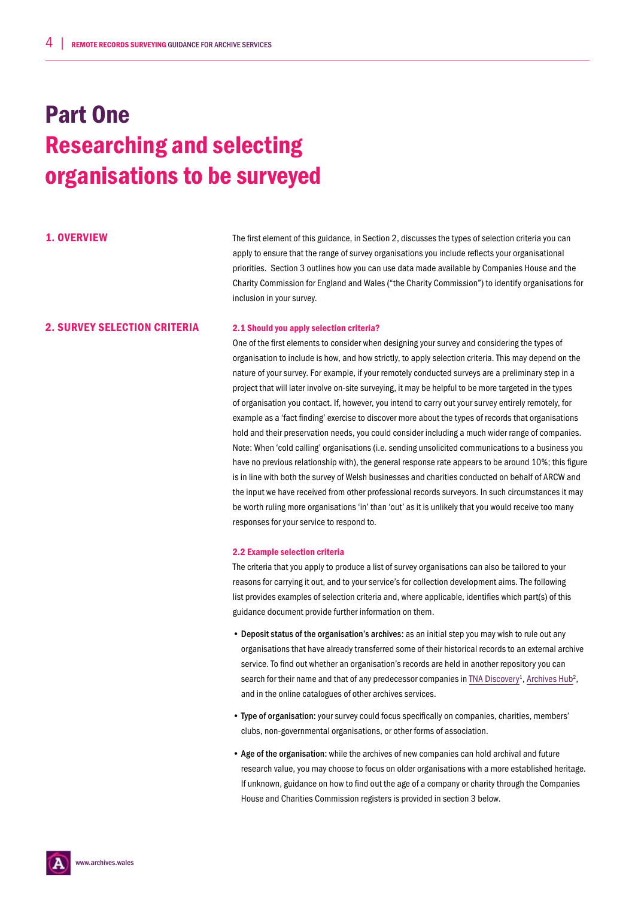# Part One Researching and selecting organisations to be surveyed

1. OVERVIEW The first element of this guidance, in Section 2, discusses the types of selection criteria you can apply to ensure that the range of survey organisations you include reflects your organisational priorities. Section 3 outlines how you can use data made available by Companies House and the Charity Commission for England and Wales ("the Charity Commission") to identify organisations for inclusion in your survey.

## 2. SURVEY SELECTION CRITERIA 2.1 Should you apply selection criteria?

One of the first elements to consider when designing your survey and considering the types of organisation to include is how, and how strictly, to apply selection criteria. This may depend on the nature of your survey. For example, if your remotely conducted surveys are a preliminary step in a project that will later involve on-site surveying, it may be helpful to be more targeted in the types of organisation you contact. If, however, you intend to carry out your survey entirely remotely, for example as a 'fact finding' exercise to discover more about the types of records that organisations hold and their preservation needs, you could consider including a much wider range of companies. Note: When 'cold calling' organisations (i.e. sending unsolicited communications to a business you have no previous relationship with), the general response rate appears to be around 10%; this figure is in line with both the survey of Welsh businesses and charities conducted on behalf of ARCW and the input we have received from other professional records surveyors. In such circumstances it may be worth ruling more organisations 'in' than 'out' as it is unlikely that you would receive too many responses for your service to respond to.

#### 2.2 Example selection criteria

The criteria that you apply to produce a list of survey organisations can also be tailored to your reasons for carrying it out, and to your service's for collection development aims. The following list provides examples of selection criteria and, where applicable, identifies which part(s) of this guidance document provide further information on them.

- Deposit status of the organisation's archives: as an initial step you may wish to rule out any organisations that have already transferred some of their historical records to an external archive service. To find out whether an organisation's records are held in another repository you can search for their name and that of any predecessor companies in TNA Discovery<sup>1</sup>, Archives Hub<sup>2</sup>, and in the online catalogues of other archives services.
- Type of organisation: your survey could focus specifically on companies, charities, members' clubs, non-governmental organisations, or other forms of association.
- Age of the organisation: while the archives of new companies can hold archival and future research value, you may choose to focus on older organisations with a more established heritage. If unknown, guidance on how to find out the age of a company or charity through the Companies House and Charities Commission registers is provided in section 3 below.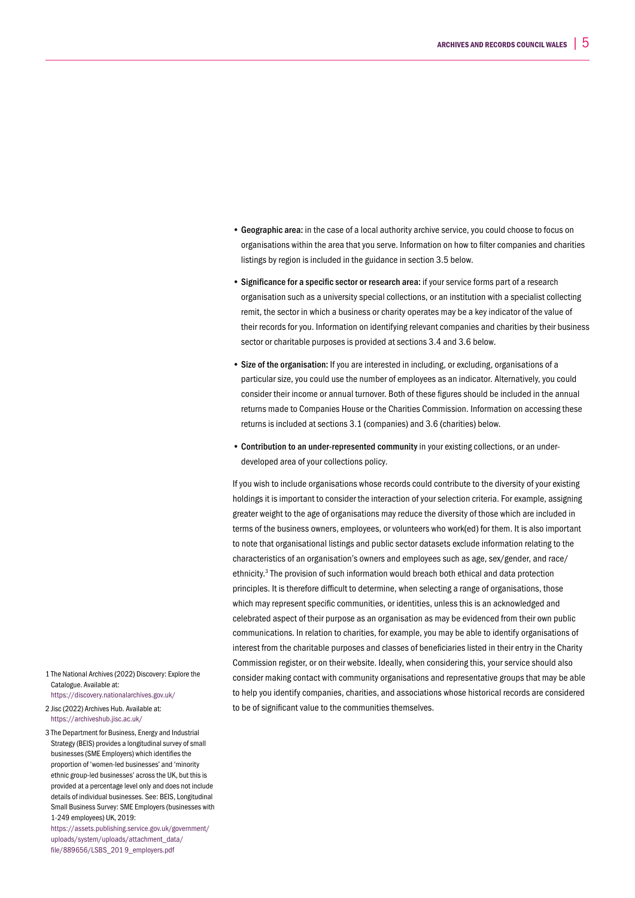- Geographic area: in the case of a local authority archive service, you could choose to focus on organisations within the area that you serve. Information on how to filter companies and charities listings by region is included in the guidance in section 3.5 below.
- Significance for a specific sector or research area: if your service forms part of a research organisation such as a university special collections, or an institution with a specialist collecting remit, the sector in which a business or charity operates may be a key indicator of the value of their records for you. Information on identifying relevant companies and charities by their business sector or charitable purposes is provided at sections 3.4 and 3.6 below.
- Size of the organisation: If you are interested in including, or excluding, organisations of a particular size, you could use the number of employees as an indicator. Alternatively, you could consider their income or annual turnover. Both of these figures should be included in the annual returns made to Companies House or the Charities Commission. Information on accessing these returns is included at sections 3.1 (companies) and 3.6 (charities) below.
- Contribution to an under-represented community in your existing collections, or an underdeveloped area of your collections policy.

If you wish to include organisations whose records could contribute to the diversity of your existing holdings it is important to consider the interaction of your selection criteria. For example, assigning greater weight to the age of organisations may reduce the diversity of those which are included in terms of the business owners, employees, or volunteers who work(ed) for them. It is also important to note that organisational listings and public sector datasets exclude information relating to the characteristics of an organisation's owners and employees such as age, sex/gender, and race/ ethnicity.<sup>3</sup> The provision of such information would breach both ethical and data protection principles. It is therefore difficult to determine, when selecting a range of organisations, those which may represent specific communities, or identities, unless this is an acknowledged and celebrated aspect of their purpose as an organisation as may be evidenced from their own public communications. In relation to charities, for example, you may be able to identify organisations of interest from the charitable purposes and classes of beneficiaries listed in their entry in the Charity Commission register, or on their website. Ideally, when considering this, your service should also consider making contact with community organisations and representative groups that may be able to help you identify companies, charities, and associations whose historical records are considered to be of significant value to the communities themselves.

1 The National Archives (2022) Discovery: Explore the Catalogue. Available at: https://discovery.nationalarchives.gov.uk/

2 Jisc (2022) Archives Hub. Available at: https://archiveshub.jisc.ac.uk/

3 The Department for Business, Energy and Industrial Strategy (BEIS) provides a longitudinal survey of small businesses (SME Employers) which identifies the proportion of 'women-led businesses' and 'minority ethnic group-led businesses' across the UK, but this is provided at a percentage level only and does not include details of individual businesses. See: BEIS, Longitudinal Small Business Survey: SME Employers (businesses with 1-249 employees) UK, 2019:

https://assets.publishing.service.gov.uk/government/ uploads/system/uploads/attachment\_data/ file/889656/LSBS\_201 9\_employers.pdf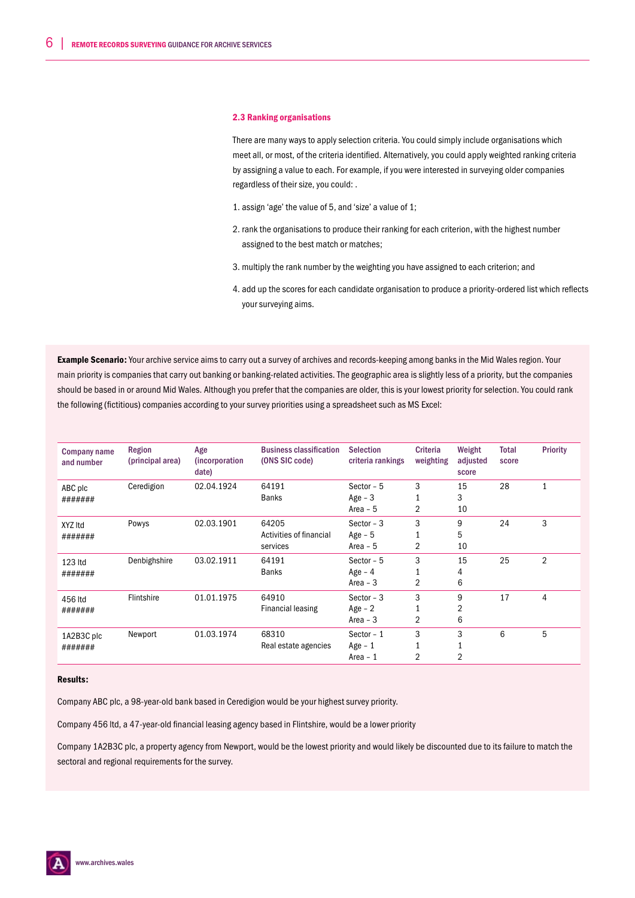#### 2.3 Ranking organisations

There are many ways to apply selection criteria. You could simply include organisations which meet all, or most, of the criteria identified. Alternatively, you could apply weighted ranking criteria by assigning a value to each. For example, if you were interested in surveying older companies regardless of their size, you could: .

- 1. assign 'age' the value of 5, and 'size' a value of 1;
- 2. rank the organisations to produce their ranking for each criterion, with the highest number assigned to the best match or matches;
- 3. multiply the rank number by the weighting you have assigned to each criterion; and
- 4. add up the scores for each candidate organisation to produce a priority-ordered list which reflects your surveying aims.

Example Scenario: Your archive service aims to carry out a survey of archives and records-keeping among banks in the Mid Wales region. Your main priority is companies that carry out banking or banking-related activities. The geographic area is slightly less of a priority, but the companies should be based in or around Mid Wales. Although you prefer that the companies are older, this is your lowest priority for selection. You could rank the following (fictitious) companies according to your survey priorities using a spreadsheet such as MS Excel:

| <b>Company name</b><br>and number | Region<br>(principal area) | Age<br><i>(incorporation)</i><br>date) | <b>Business classification</b><br>(ONS SIC code) | <b>Selection</b><br>criteria rankings | Criteria<br>weighting | Weight<br>adjusted<br>score | <b>Total</b><br>score | <b>Priority</b> |
|-----------------------------------|----------------------------|----------------------------------------|--------------------------------------------------|---------------------------------------|-----------------------|-----------------------------|-----------------------|-----------------|
| ABC plc<br>#######                | Ceredigion                 | 02.04.1924                             | 64191<br><b>Banks</b>                            | Sector $-5$<br>Age $-3$<br>Area $-5$  | 3<br>2                | 15<br>3<br>10               | 28                    | 1               |
| XYZ Itd<br>#######                | Powys                      | 02.03.1901                             | 64205<br>Activities of financial<br>services     | Sector $-3$<br>Age $-5$<br>Area $-5$  | 3<br>2                | 9<br>5<br>10                | 24                    | 3               |
| 123 Itd<br>#######                | Denbighshire               | 03.02.1911                             | 64191<br><b>Banks</b>                            | Sector - 5<br>Age $-4$<br>Area $-3$   | 3<br>2                | 15<br>4<br>6                | 25                    | $\overline{2}$  |
| 456 Itd<br>#######                | Flintshire                 | 01.01.1975                             | 64910<br><b>Financial leasing</b>                | Sector $-3$<br>$Age - 2$<br>Area $-3$ | 3<br>2                | 9<br>2<br>6                 | 17                    | $\overline{4}$  |
| 1A2B3C plc<br>#######             | Newport                    | 01.03.1974                             | 68310<br>Real estate agencies                    | Sector $-1$<br>Age $-1$<br>Area - 1   | 3<br>2                | 3<br>$\overline{2}$         | 6                     | 5               |

#### Results:

Company ABC plc, a 98-year-old bank based in Ceredigion would be your highest survey priority.

Company 456 ltd, a 47-year-old financial leasing agency based in Flintshire, would be a lower priority

Company 1A2B3C plc, a property agency from Newport, would be the lowest priority and would likely be discounted due to its failure to match the sectoral and regional requirements for the survey.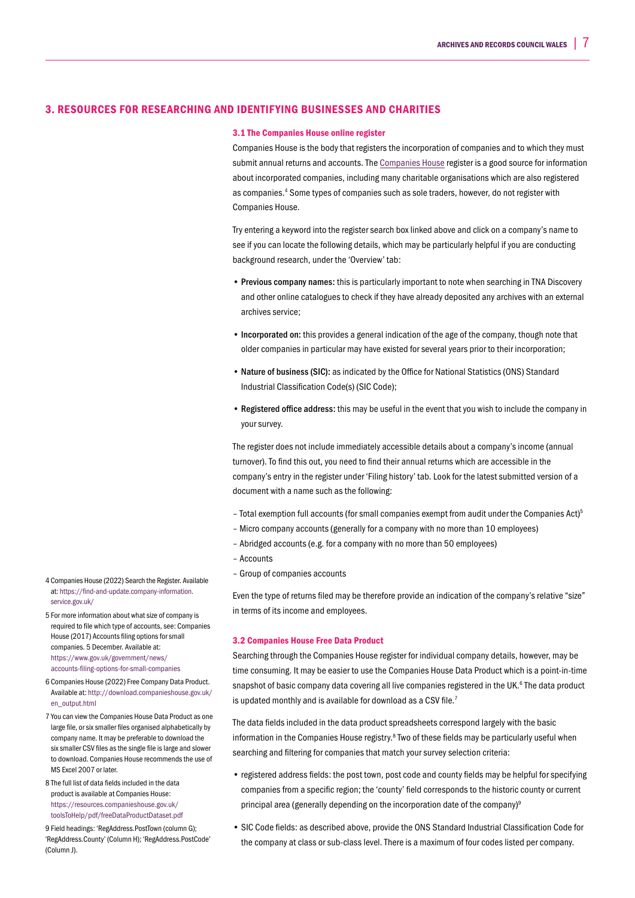### 3. RESOURCES FOR RESEARCHING AND IDENTIFYING BUSINESSES AND CHARITIES

#### 3.1 The Companies House online register

Companies House is the body that registers the incorporation of companies and to which they must submit annual returns and accounts. The Companies House register is a good source for information about incorporated companies, including many charitable organisations which are also registered as companies.<sup>4</sup> Some types of companies such as sole traders, however, do not register with Companies House.

Try entering a keyword into the register search box linked above and click on a company's name to see if you can locate the following details, which may be particularly helpful if you are conducting background research, under the 'Overview' tab:

- Previous company names: this is particularly important to note when searching in TNA Discovery and other online catalogues to check if they have already deposited any archives with an external archives service;
- Incorporated on: this provides a general indication of the age of the company, though note that older companies in particular may have existed for several years prior to their incorporation;
- Nature of business (SIC): as indicated by the Office for National Statistics (ONS) Standard Industrial Classification Code(s) (SIC Code);
- Registered office address: this may be useful in the event that you wish to include the company in your survey.

The register does not include immediately accessible details about a company's income (annual turnover). To find this out, you need to find their annual returns which are accessible in the company's entry in the register under 'Filing history' tab. Look for the latest submitted version of a document with a name such as the following:

- Total exemption full accounts (for small companies exempt from audit under the Companies Act)5
- Micro company accounts (generally for a company with no more than 10 employees)
- Abridged accounts (e.g. for a company with no more than 50 employees)
- Accounts
- Group of companies accounts

Even the type of returns filed may be therefore provide an indication of the company's relative "size" in terms of its income and employees.

### 3.2 Companies House Free Data Product

Searching through the Companies House register for individual company details, however, may be time consuming. It may be easier to use the Companies House Data Product which is a point-in-time snapshot of basic company data covering all live companies registered in the UK.<sup>6</sup> The data product is updated monthly and is available for download as a CSV file.<sup>7</sup>

The data fields included in the data product spreadsheets correspond largely with the basic information in the Companies House registry.<sup>8</sup> Two of these fields may be particularly useful when searching and filtering for companies that match your survey selection criteria:

- registered address fields: the post town, post code and county fields may be helpful for specifying companies from a specific region; the 'county' field corresponds to the historic county or current principal area (generally depending on the incorporation date of the company)<sup>9</sup>
- SIC Code fields: as described above, provide the ONS Standard Industrial Classification Code for the company at class or sub-class level. There is a maximum of four codes listed per company.

4 Companies House (2022) Search the Register. Available at: https://find-and-update.company-information. service.gov.uk/

5 For more information about what size of company is required to file which type of accounts, see: Companies House (2017) Accounts filing options for small companies. 5 December. Available at: https://www.gov.uk/government/news/ accounts-filing-options-for-small-companies

- 6 Companies House (2022) Free Company Data Product. Available at: http://download.companieshouse.gov.uk/ en\_output.html
- 7 You can view the Companies House Data Product as one large file, or six smaller files organised alphabetically by company name. It may be preferable to download the six smaller CSV files as the single file is large and slower to download. Companies House recommends the use of MS Excel 2007 or later.
- 8 The full list of data fields included in the data product is available at Companies House: https://resources.companieshouse.gov.uk/ toolsToHelp/pdf/freeDataProductDataset.pdf

9 Field headings: 'RegAddress.PostTown (column G); 'RegAddress.County' (Column H); 'RegAddress.PostCode' (Column J).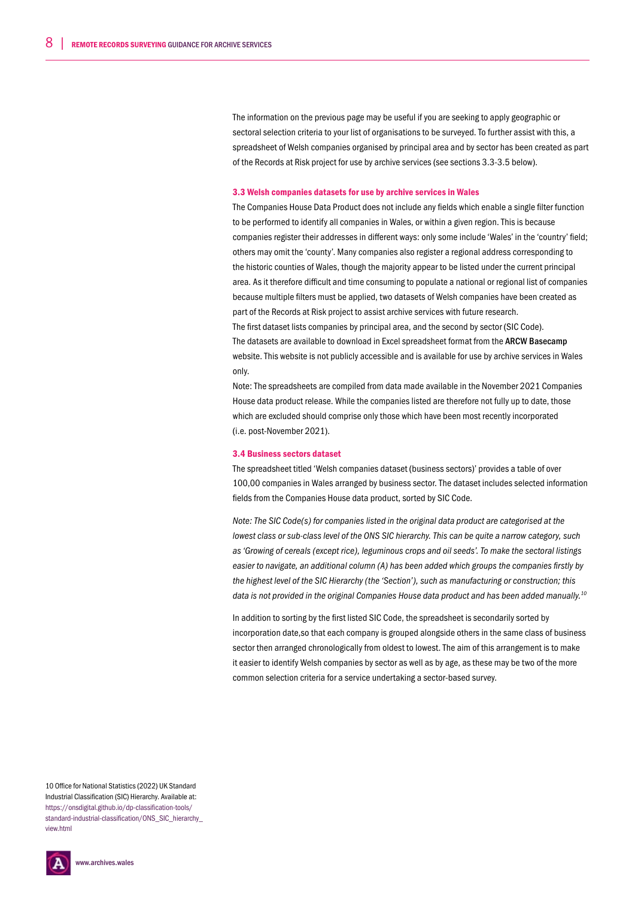The information on the previous page may be useful if you are seeking to apply geographic or sectoral selection criteria to your list of organisations to be surveyed. To further assist with this, a spreadsheet of Welsh companies organised by principal area and by sector has been created as part of the Records at Risk project for use by archive services (see sections 3.3-3.5 below).

#### 3.3 Welsh companies datasets for use by archive services in Wales

The Companies House Data Product does not include any fields which enable a single filter function to be performed to identify all companies in Wales, or within a given region. This is because companies register their addresses in different ways: only some include 'Wales' in the 'country' field; others may omit the 'county'. Many companies also register a regional address corresponding to the historic counties of Wales, though the majority appear to be listed under the current principal area. As it therefore difficult and time consuming to populate a national or regional list of companies because multiple filters must be applied, two datasets of Welsh companies have been created as part of the Records at Risk project to assist archive services with future research. The first dataset lists companies by principal area, and the second by sector (SIC Code). The datasets are available to download in Excel spreadsheet format from the ARCW Basecamp

website. This website is not publicly accessible and is available for use by archive services in Wales only.

Note: The spreadsheets are compiled from data made available in the November 2021 Companies House data product release. While the companies listed are therefore not fully up to date, those which are excluded should comprise only those which have been most recently incorporated (i.e. post-November 2021).

#### 3.4 Business sectors dataset

The spreadsheet titled 'Welsh companies dataset (business sectors)' provides a table of over 100,00 companies in Wales arranged by business sector. The dataset includes selected information fields from the Companies House data product, sorted by SIC Code.

*Note: The SIC Code(s) for companies listed in the original data product are categorised at the lowest class or sub-class level of the ONS SIC hierarchy. This can be quite a narrow category, such as 'Growing of cereals (except rice), leguminous crops and oil seeds'. To make the sectoral listings easier to navigate, an additional column (A) has been added which groups the companies firstly by the highest level of the SIC Hierarchy (the 'Section'), such as manufacturing or construction; this data is not provided in the original Companies House data product and has been added manually.10*

In addition to sorting by the first listed SIC Code, the spreadsheet is secondarily sorted by incorporation date,so that each company is grouped alongside others in the same class of business sector then arranged chronologically from oldest to lowest. The aim of this arrangement is to make it easier to identify Welsh companies by sector as well as by age, as these may be two of the more common selection criteria for a service undertaking a sector-based survey.

10 Office for National Statistics (2022) UK Standard Industrial Classification (SIC) Hierarchy. Available at: https://onsdigital.github.io/dp-classification-tools/ standard-industrial-classification/ONS\_SIC\_hierarchy view.htm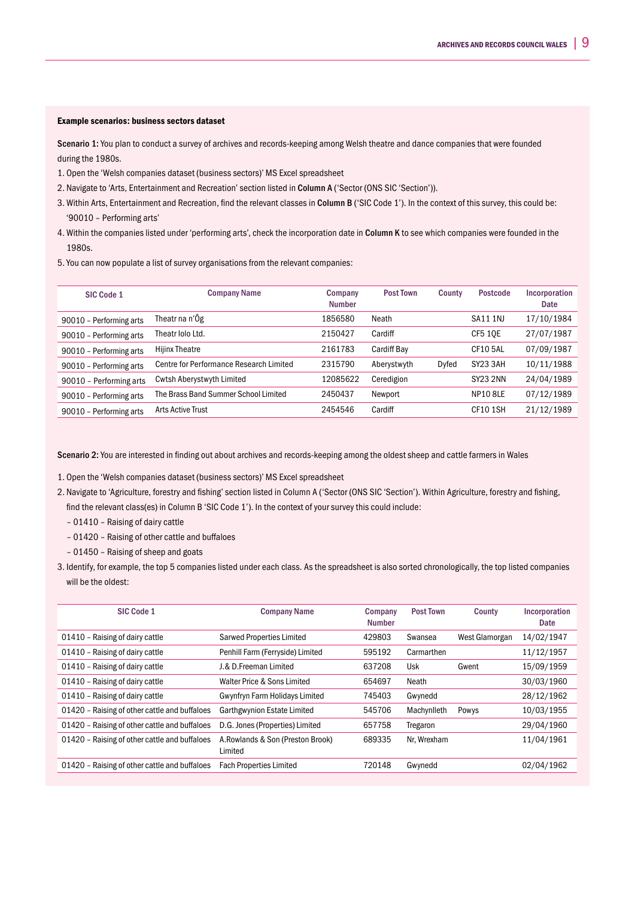#### Example scenarios: business sectors dataset

Scenario 1: You plan to conduct a survey of archives and records-keeping among Welsh theatre and dance companies that were founded during the 1980s.

- 1. Open the 'Welsh companies dataset (business sectors)' MS Excel spreadsheet
- 2. Navigate to 'Arts, Entertainment and Recreation' section listed in Column A ('Sector (ONS SIC 'Section')).
- 3. Within Arts, Entertainment and Recreation, find the relevant classes in Column B ('SIC Code 1'). In the context of this survey, this could be: '90010 – Performing arts'
- 4. Within the companies listed under 'performing arts', check the incorporation date in Column K to see which companies were founded in the 1980s.
- 5.You can now populate a list of survey organisations from the relevant companies:

| SIC Code 1              | <b>Company Name</b>                     | Company<br><b>Number</b> | <b>Post Town</b> | County | <b>Postcode</b> | Incorporation<br>Date |
|-------------------------|-----------------------------------------|--------------------------|------------------|--------|-----------------|-----------------------|
| 90010 - Performing arts | Theatr na n'Ôg                          | 1856580                  | Neath            |        | <b>SA11 1NJ</b> | 17/10/1984            |
| 90010 - Performing arts | Theatr Iolo Ltd.                        | 2150427                  | Cardiff          |        | <b>CF5 10E</b>  | 27/07/1987            |
| 90010 - Performing arts | <b>Hijinx Theatre</b>                   | 2161783                  | Cardiff Bay      |        | <b>CF105AL</b>  | 07/09/1987            |
| 90010 - Performing arts | Centre for Performance Research Limited | 2315790                  | Aberystwyth      | Dyfed  | SY23 3AH        | 10/11/1988            |
| 90010 - Performing arts | <b>Cwtsh Aberystwyth Limited</b>        | 12085622                 | Ceredigion       |        | <b>SY23 2NN</b> | 24/04/1989            |
| 90010 - Performing arts | The Brass Band Summer School Limited    | 2450437                  | Newport          |        | <b>NP10 8LE</b> | 07/12/1989            |
| 90010 - Performing arts | <b>Arts Active Trust</b>                | 2454546                  | Cardiff          |        | <b>CF10 1SH</b> | 21/12/1989            |

Scenario 2: You are interested in finding out about archives and records-keeping among the oldest sheep and cattle farmers in Wales

1. Open the 'Welsh companies dataset (business sectors)' MS Excel spreadsheet

- 2. Navigate to 'Agriculture, forestry and fishing' section listed in Column A ('Sector (ONS SIC 'Section'). Within Agriculture, forestry and fishing, find the relevant class(es) in Column B 'SIC Code 1'). In the context of your survey this could include:
	- 01410 Raising of dairy cattle
	- 01420 Raising of other cattle and buffaloes
	- 01450 Raising of sheep and goats
- 3. Identify, for example, the top 5 companies listed under each class. As the spreadsheet is also sorted chronologically, the top listed companies will be the oldest:

| SIC Code 1                                    | <b>Company Name</b>                         | Company<br><b>Number</b> | <b>Post Town</b> | County         | Incorporation<br>Date |
|-----------------------------------------------|---------------------------------------------|--------------------------|------------------|----------------|-----------------------|
| 01410 - Raising of dairy cattle               | <b>Sarwed Properties Limited</b>            | 429803                   | Swansea          | West Glamorgan | 14/02/1947            |
| 01410 - Raising of dairy cattle               | Penhill Farm (Ferryside) Limited            | 595192                   | Carmarthen       |                | 11/12/1957            |
| 01410 - Raising of dairy cattle               | J.& D.Freeman Limited                       | 637208                   | Usk              | Gwent          | 15/09/1959            |
| 01410 - Raising of dairy cattle               | Walter Price & Sons Limited                 | 654697                   | Neath            |                | 30/03/1960            |
| 01410 - Raising of dairy cattle               | <b>Gwynfryn Farm Holidays Limited</b>       | 745403                   | Gwynedd          |                | 28/12/1962            |
| 01420 - Raising of other cattle and buffaloes | Garthgwynion Estate Limited                 | 545706                   | Machynlleth      | Powys          | 10/03/1955            |
| 01420 - Raising of other cattle and buffaloes | D.G. Jones (Properties) Limited             | 657758                   | Tregaron         |                | 29/04/1960            |
| 01420 - Raising of other cattle and buffaloes | A.Rowlands & Son (Preston Brook)<br>Limited | 689335                   | Nr. Wrexham      |                | 11/04/1961            |
| 01420 - Raising of other cattle and buffaloes | <b>Fach Properties Limited</b>              | 720148                   | Gwynedd          |                | 02/04/1962            |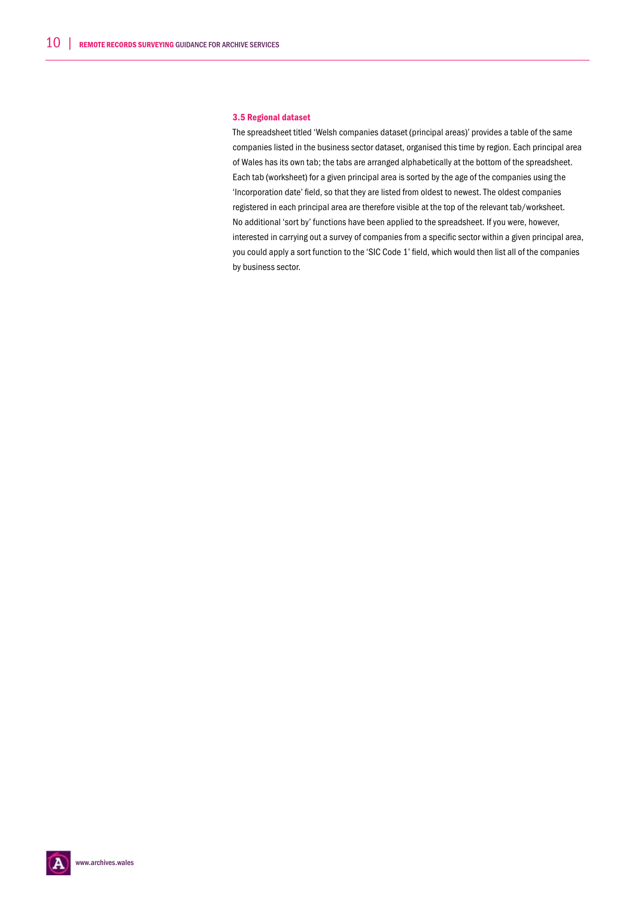#### 3.5 Regional dataset

The spreadsheet titled 'Welsh companies dataset (principal areas)' provides a table of the same companies listed in the business sector dataset, organised this time by region. Each principal area of Wales has its own tab; the tabs are arranged alphabetically at the bottom of the spreadsheet. Each tab (worksheet) for a given principal area is sorted by the age of the companies using the 'Incorporation date' field, so that they are listed from oldest to newest. The oldest companies registered in each principal area are therefore visible at the top of the relevant tab/worksheet. No additional 'sort by' functions have been applied to the spreadsheet. If you were, however, interested in carrying out a survey of companies from a specific sector within a given principal area, you could apply a sort function to the 'SIC Code 1' field, which would then list all of the companies by business sector.

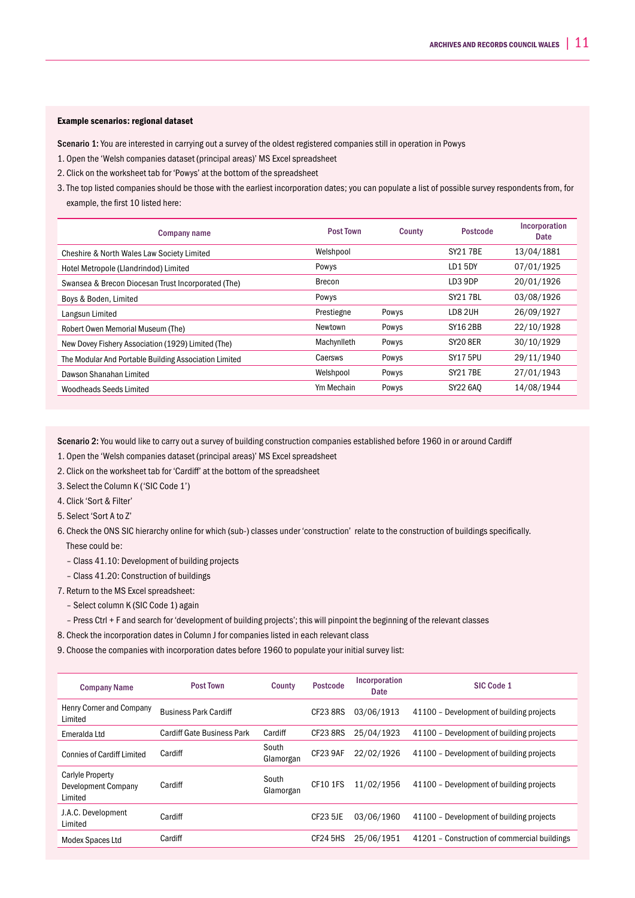### Example scenarios: regional dataset

Scenario 1: You are interested in carrying out a survey of the oldest registered companies still in operation in Powys

- 1. Open the 'Welsh companies dataset (principal areas)' MS Excel spreadsheet
- 2. Click on the worksheet tab for 'Powys' at the bottom of the spreadsheet
- 3. The top listed companies should be those with the earliest incorporation dates; you can populate a list of possible survey respondents from, for example, the first 10 listed here:

| <b>Company name</b>                                   | <b>Post Town</b> | County | <b>Postcode</b> | Incorporation<br>Date |
|-------------------------------------------------------|------------------|--------|-----------------|-----------------------|
| Cheshire & North Wales Law Society Limited            | Welshpool        |        | <b>SY217BE</b>  | 13/04/1881            |
| Hotel Metropole (Llandrindod) Limited                 | Powys            |        | LD15DY          | 07/01/1925            |
| Swansea & Brecon Diocesan Trust Incorporated (The)    | Brecon           |        | LD3 9DP         | 20/01/1926            |
| Boys & Boden, Limited                                 | Powys            |        | <b>SY217BL</b>  | 03/08/1926            |
| Langsun Limited                                       | Prestiegne       | Powys  | LD8 2UH         | 26/09/1927            |
| Robert Owen Memorial Museum (The)                     | Newtown          | Powys  | SY16 2BB        | 22/10/1928            |
| New Dovey Fishery Association (1929) Limited (The)    | Machynlleth      | Powys  | <b>SY20 8ER</b> | 30/10/1929            |
| The Modular And Portable Building Association Limited | Caersws          | Powys  | <b>SY17 5PU</b> | 29/11/1940            |
| Dawson Shanahan Limited                               | Welshpool        | Powys  | <b>SY217BE</b>  | 27/01/1943            |
| Woodheads Seeds Limited                               | Ym Mechain       | Powys  | SY22 6A0        | 14/08/1944            |

Scenario 2: You would like to carry out a survey of building construction companies established before 1960 in or around Cardiff

- 1. Open the 'Welsh companies dataset (principal areas)' MS Excel spreadsheet
- 2. Click on the worksheet tab for 'Cardiff' at the bottom of the spreadsheet
- 3. Select the Column K ('SIC Code 1')
- 4. Click 'Sort & Filter'
- 5. Select 'Sort A to Z'
- 6. Check the ONS SIC hierarchy online for which (sub-) classes under 'construction' relate to the construction of buildings specifically. These could be:
	- Class 41.10: Development of building projects
	- Class 41.20: Construction of buildings
- 7. Return to the MS Excel spreadsheet:
	- Select column K (SIC Code 1) again
	- Press Ctrl + F and search for 'development of building projects'; this will pinpoint the beginning of the relevant classes
- 8. Check the incorporation dates in Column J for companies listed in each relevant class
- 9. Choose the companies with incorporation dates before 1960 to populate your initial survey list:

| <b>Company Name</b>                                              | <b>Post Town</b>                  | County             | <b>Postcode</b> | Incorporation<br>Date | SIC Code 1                                   |
|------------------------------------------------------------------|-----------------------------------|--------------------|-----------------|-----------------------|----------------------------------------------|
| Henry Corner and Company<br>Limited                              | <b>Business Park Cardiff</b>      |                    | <b>CF23 8RS</b> | 03/06/1913            | 41100 - Development of building projects     |
| Emeralda Ltd                                                     | <b>Cardiff Gate Business Park</b> | Cardiff            | CF238RS         | 25/04/1923            | 41100 - Development of building projects     |
| <b>Connies of Cardiff Limited</b>                                | Cardiff                           | South<br>Glamorgan | CF23 9AF        | 22/02/1926            | 41100 - Development of building projects     |
| <b>Carlyle Property</b><br><b>Development Company</b><br>Limited | Cardiff                           | South<br>Glamorgan | <b>CF10 1FS</b> | 11/02/1956            | 41100 - Development of building projects     |
| J.A.C. Development<br>Limited                                    | Cardiff                           |                    | <b>CF23 5JE</b> | 03/06/1960            | 41100 - Development of building projects     |
| Modex Spaces Ltd                                                 | Cardiff                           |                    | CF24 5HS        | 25/06/1951            | 41201 - Construction of commercial buildings |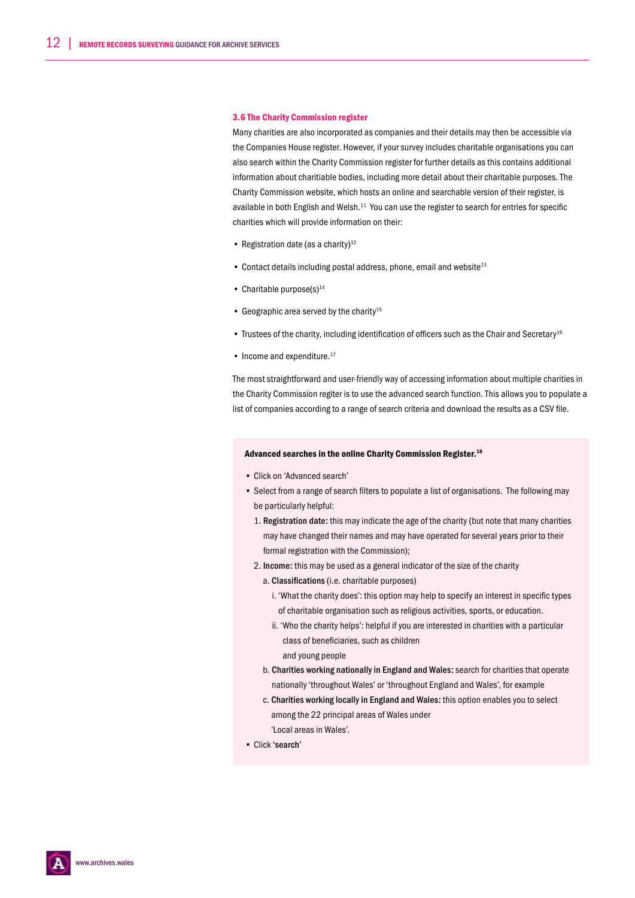#### 3.6 The Charity Commission register

Many charities are also incorporated as companies and their details may then be accessible via the Companies House register. However, if your survey includes charitable organisations you can also search within the Charity Commission register for further details as this contains additional information about charitiable bodies, including more detail about their charitable purposes. The Charity Commission website, which hosts an online and searchable version of their register, is available in both English and Welsh.<sup>11</sup> You can use the register to search for entries for specific charities which will provide information on their:

- Registration date (as a charity) $12$
- Contact details including postal address, phone, email and website<sup>13</sup>
- Charitable purpose $(s)$ <sup>14</sup>
- Geographic area served by the charity<sup>15</sup>
- Trustees of the charity, including identification of officers such as the Chair and Secretary<sup>16</sup>
- $\bullet$  Income and expenditure.<sup>17</sup>

The most straightforward and user-friendly way of accessing information about multiple charities in the Charity Commission regiter is to use the advanced search function. This allows you to populate a list of companies according to a range of search criteria and download the results as a CSV file.

#### Advanced searches in the online Charity Commission Register.<sup>18</sup>

- Click on 'Advanced search'
- Select from a range of search filters to populate a list of organisations. The following may be particularly helpful:
	- 1. Registration date: this may indicate the age of the charity (but note that many charities may have changed their names and may have operated for several years prior to their formal registration with the Commission);
	- 2. Income: this may be used as a general indicator of the size of the charity
		- a. Classifications (i.e. charitable purposes)
			- i. 'What the charity does': this option may help to specify an interest in specific types of charitable organisation such as religious activities, sports, or education.
			- ii. 'Who the charity helps': helpful if you are interested in charities with a particular class of beneficiaries, such as children and young people
		- b. Charities working nationally in England and Wales: search for charities that operate nationally 'throughout Wales' or 'throughout England and Wales', for example
		- c. Charities working locally in England and Wales: this option enables you to select among the 22 principal areas of Wales under 'Local areas in Wales'.
- 
- Click 'search'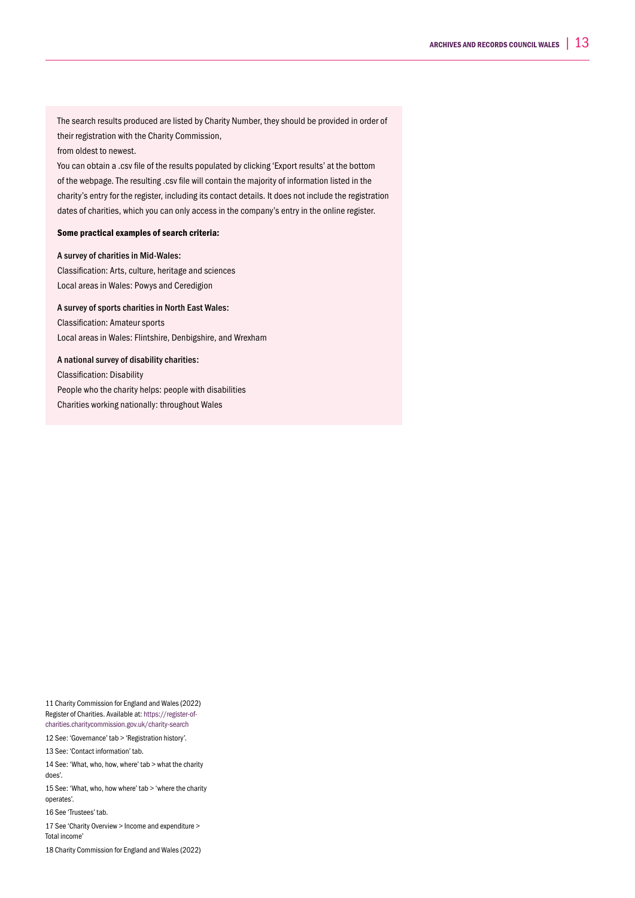The search results produced are listed by Charity Number, they should be provided in order of their registration with the Charity Commission,

#### from oldest to newest.

You can obtain a .csv file of the results populated by clicking 'Export results' at the bottom of the webpage. The resulting .csv file will contain the majority of information listed in the charity's entry for the register, including its contact details. It does not include the registration dates of charities, which you can only access in the company's entry in the online register.

#### Some practical examples of search criteria:

#### A survey of charities in Mid-Wales:

Classification: Arts, culture, heritage and sciences Local areas in Wales: Powys and Ceredigion

### A survey of sports charities in North East Wales:

Classification: Amateur sports Local areas in Wales: Flintshire, Denbigshire, and Wrexham

### A national survey of disability charities:

Classification: Disability People who the charity helps: people with disabilities Charities working nationally: throughout Wales

11 Charity Commission for England and Wales (2022) Register of Charities. Available at: https://register-ofcharities.charitycommission.gov.uk/charity-search

12 See: 'Governance' tab > 'Registration history'.

13 See: 'Contact information' tab.

14 See: 'What, who, how, where' tab > what the charity does'.

15 See: 'What, who, how where' tab > 'where the charity operates'.

16 See 'Trustees' tab.

17 See 'Charity Overview > Income and expenditure >

Total income'

18 Charity Commission for England and Wales (2022)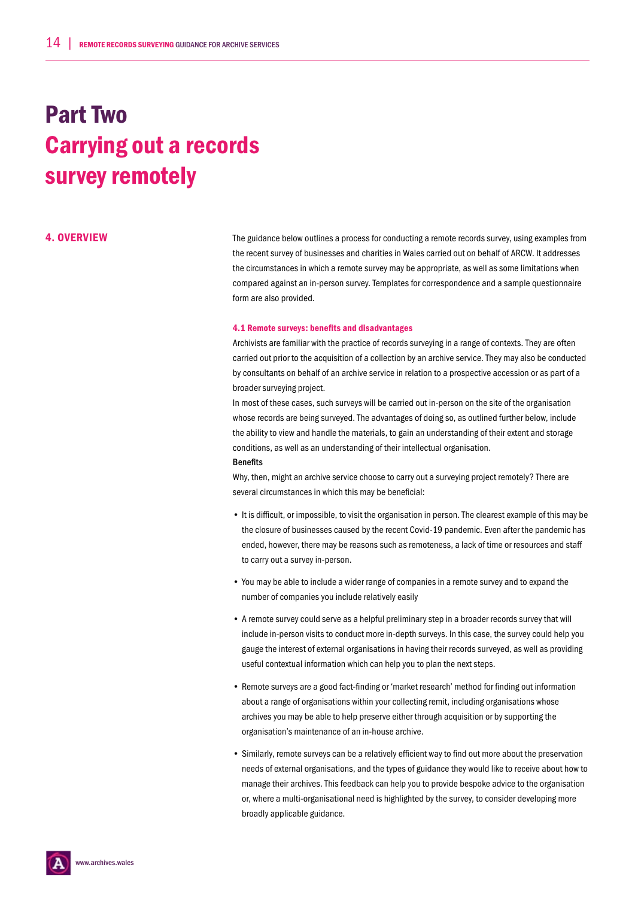# Part Two Carrying out a records survey remotely

4. OVERVIEW The guidance below outlines a process for conducting a remote records survey, using examples from the recent survey of businesses and charities in Wales carried out on behalf of ARCW. It addresses the circumstances in which a remote survey may be appropriate, as well as some limitations when compared against an in-person survey. Templates for correspondence and a sample questionnaire form are also provided.

#### 4.1 Remote surveys: benefits and disadvantages

Archivists are familiar with the practice of records surveying in a range of contexts. They are often carried out prior to the acquisition of a collection by an archive service. They may also be conducted by consultants on behalf of an archive service in relation to a prospective accession or as part of a broader surveying project.

In most of these cases, such surveys will be carried out in-person on the site of the organisation whose records are being surveyed. The advantages of doing so, as outlined further below, include the ability to view and handle the materials, to gain an understanding of their extent and storage conditions, as well as an understanding of their intellectual organisation. Benefits

Why, then, might an archive service choose to carry out a surveying project remotely? There are several circumstances in which this may be beneficial:

- It is difficult, or impossible, to visit the organisation in person. The clearest example of this may be the closure of businesses caused by the recent Covid-19 pandemic. Even after the pandemic has ended, however, there may be reasons such as remoteness, a lack of time or resources and staff to carry out a survey in-person.
- You may be able to include a wider range of companies in a remote survey and to expand the number of companies you include relatively easily
- A remote survey could serve as a helpful preliminary step in a broader records survey that will include in-person visits to conduct more in-depth surveys. In this case, the survey could help you gauge the interest of external organisations in having their records surveyed, as well as providing useful contextual information which can help you to plan the next steps.
- Remote surveys are a good fact-finding or 'market research' method for finding out information about a range of organisations within your collecting remit, including organisations whose archives you may be able to help preserve either through acquisition or by supporting the organisation's maintenance of an in-house archive.
- Similarly, remote surveys can be a relatively efficient way to find out more about the preservation needs of external organisations, and the types of guidance they would like to receive about how to manage their archives. This feedback can help you to provide bespoke advice to the organisation or, where a multi-organisational need is highlighted by the survey, to consider developing more broadly applicable guidance.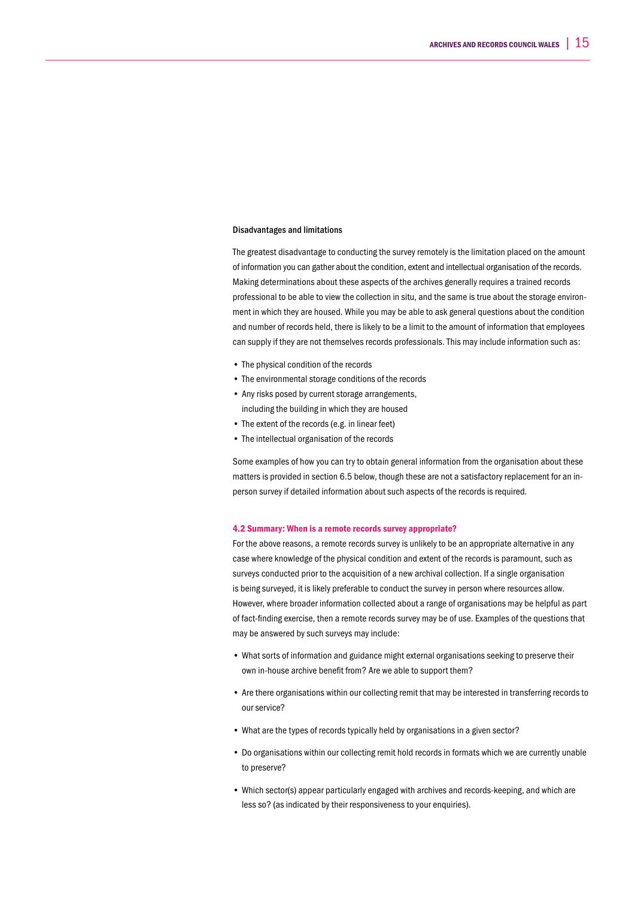#### Disadvantages and limitations

The greatest disadvantage to conducting the survey remotely is the limitation placed on the amount of information you can gather about the condition, extent and intellectual organisation of the records. Making determinations about these aspects of the archives generally requires a trained records professional to be able to view the collection in situ, and the same is true about the storage environment in which they are housed. While you may be able to ask general questions about the condition and number of records held, there is likely to be a limit to the amount of information that employees can supply if they are not themselves records professionals. This may include information such as:

- The physical condition of the records
- The environmental storage conditions of the records
- Any risks posed by current storage arrangements,
- including the building in which they are housed
- The extent of the records (e.g. in linear feet)
- The intellectual organisation of the records

Some examples of how you can try to obtain general information from the organisation about these matters is provided in section 6.5 below, though these are not a satisfactory replacement for an inperson survey if detailed information about such aspects of the records is required.

#### 4.2 Summary: When is a remote records survey appropriate?

For the above reasons, a remote records survey is unlikely to be an appropriate alternative in any case where knowledge of the physical condition and extent of the records is paramount, such as surveys conducted prior to the acquisition of a new archival collection. If a single organisation is being surveyed, it is likely preferable to conduct the survey in person where resources allow. However, where broader information collected about a range of organisations may be helpful as part of fact-finding exercise, then a remote records survey may be of use. Examples of the questions that may be answered by such surveys may include:

- What sorts of information and guidance might external organisations seeking to preserve their own in-house archive benefit from? Are we able to support them?
- Are there organisations within our collecting remit that may be interested in transferring records to our service?
- What are the types of records typically held by organisations in a given sector?
- Do organisations within our collecting remit hold records in formats which we are currently unable to preserve?
- Which sector(s) appear particularly engaged with archives and records-keeping, and which are less so? (as indicated by their responsiveness to your enquiries).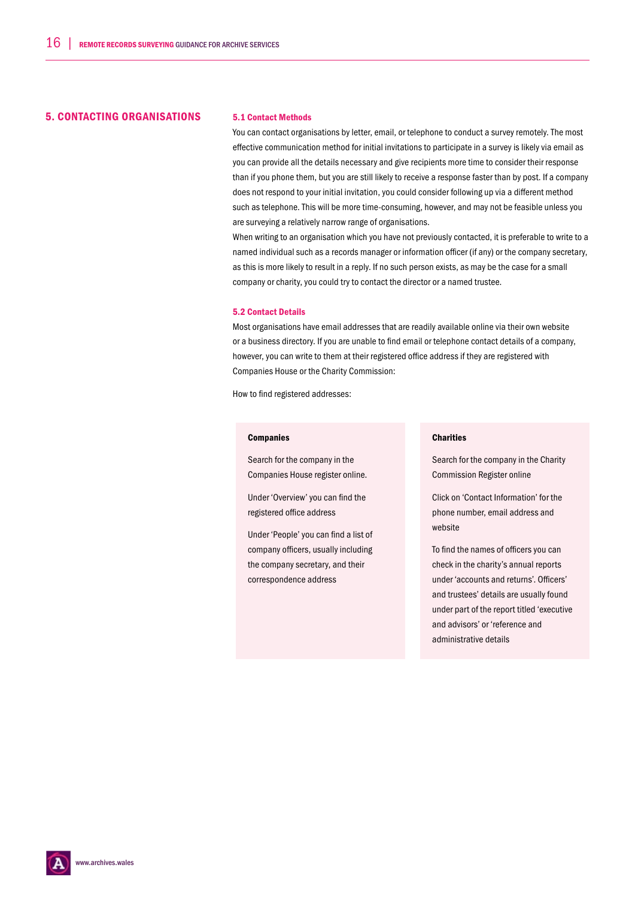### 5. CONTACTING ORGANISATIONS 5.1 Contact Methods

You can contact organisations by letter, email, or telephone to conduct a survey remotely. The most effective communication method for initial invitations to participate in a survey is likely via email as you can provide all the details necessary and give recipients more time to consider their response than if you phone them, but you are still likely to receive a response faster than by post. If a company does not respond to your initial invitation, you could consider following up via a different method such as telephone. This will be more time-consuming, however, and may not be feasible unless you are surveying a relatively narrow range of organisations.

When writing to an organisation which you have not previously contacted, it is preferable to write to a named individual such as a records manager or information officer (if any) or the company secretary, as this is more likely to result in a reply. If no such person exists, as may be the case for a small company or charity, you could try to contact the director or a named trustee.

#### 5.2 Contact Details

Most organisations have email addresses that are readily available online via their own website or a business directory. If you are unable to find email or telephone contact details of a company, however, you can write to them at their registered office address if they are registered with Companies House or the Charity Commission:

How to find registered addresses:

#### Companies

Search for the company in the Companies House register online.

Under 'Overview' you can find the registered office address

Under 'People' you can find a list of company officers, usually including the company secretary, and their correspondence address

#### **Charities**

Search for the company in the Charity Commission Register online

Click on 'Contact Information' for the phone number, email address and website

To find the names of officers you can check in the charity's annual reports under 'accounts and returns'. Officers' and trustees' details are usually found under part of the report titled 'executive and advisors' or 'reference and administrative details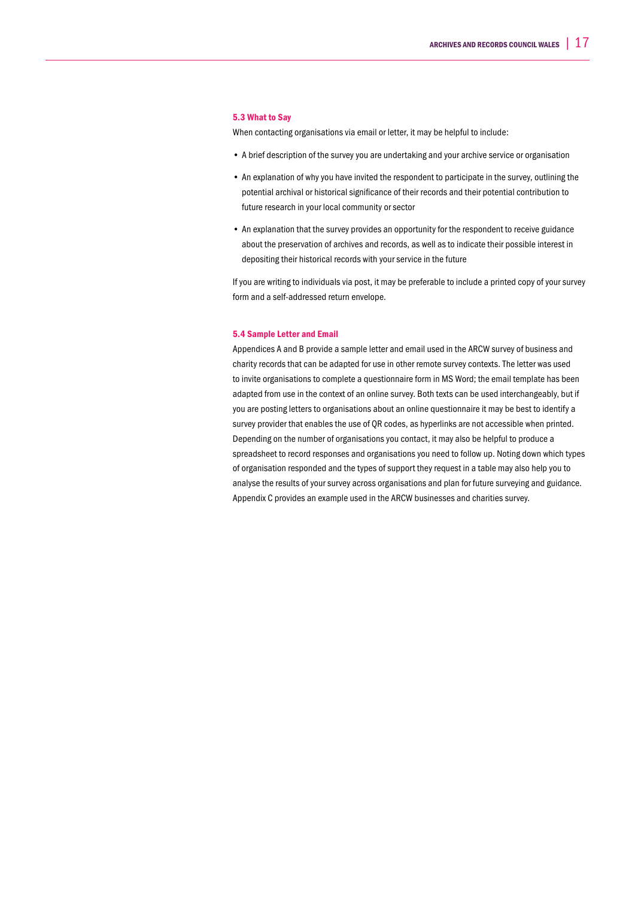#### 5.3 What to Say

When contacting organisations via email or letter, it may be helpful to include:

- A brief description of the survey you are undertaking and your archive service or organisation
- An explanation of why you have invited the respondent to participate in the survey, outlining the potential archival or historical significance of their records and their potential contribution to future research in your local community or sector
- An explanation that the survey provides an opportunity for the respondent to receive guidance about the preservation of archives and records, as well as to indicate their possible interest in depositing their historical records with your service in the future

If you are writing to individuals via post, it may be preferable to include a printed copy of your survey form and a self-addressed return envelope.

#### 5.4 Sample Letter and Email

Appendices A and B provide a sample letter and email used in the ARCW survey of business and charity records that can be adapted for use in other remote survey contexts. The letter was used to invite organisations to complete a questionnaire form in MS Word; the email template has been adapted from use in the context of an online survey. Both texts can be used interchangeably, but if you are posting letters to organisations about an online questionnaire it may be best to identify a survey provider that enables the use of QR codes, as hyperlinks are not accessible when printed. Depending on the number of organisations you contact, it may also be helpful to produce a spreadsheet to record responses and organisations you need to follow up. Noting down which types of organisation responded and the types of support they request in a table may also help you to analyse the results of your survey across organisations and plan for future surveying and guidance. Appendix C provides an example used in the ARCW businesses and charities survey.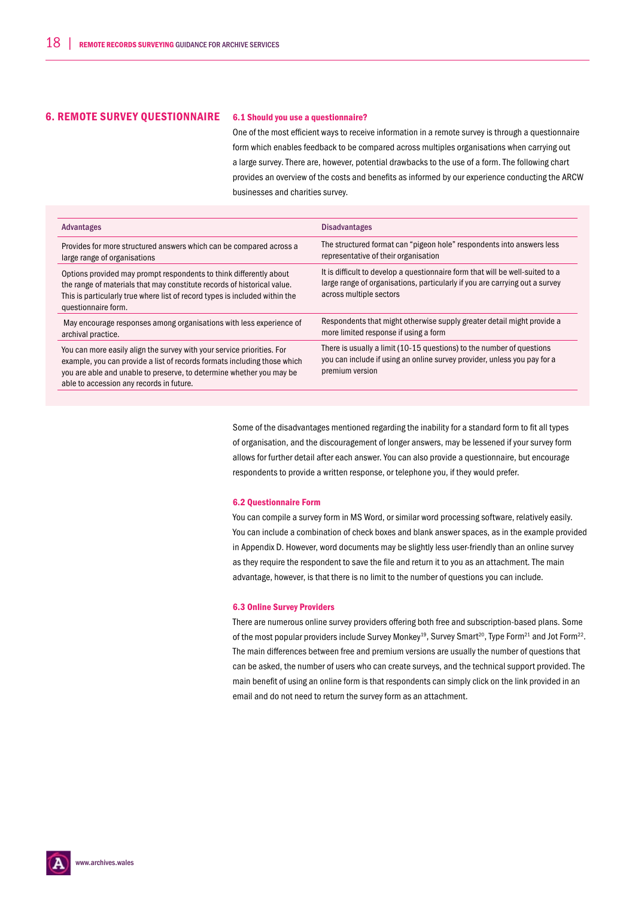### 6. REMOTE SURVEY QUESTIONNAIRE 6.1 Should you use a questionnaire?

One of the most efficient ways to receive information in a remote survey is through a questionnaire form which enables feedback to be compared across multiples organisations when carrying out a large survey. There are, however, potential drawbacks to the use of a form. The following chart provides an overview of the costs and benefits as informed by our experience conducting the ARCW businesses and charities survey.

| Advantages                                                                                                                                                                                                                                                             | <b>Disadvantages</b>                                                                                                                                                                    |
|------------------------------------------------------------------------------------------------------------------------------------------------------------------------------------------------------------------------------------------------------------------------|-----------------------------------------------------------------------------------------------------------------------------------------------------------------------------------------|
| Provides for more structured answers which can be compared across a<br>large range of organisations                                                                                                                                                                    | The structured format can "pigeon hole" respondents into answers less<br>representative of their organisation                                                                           |
| Options provided may prompt respondents to think differently about<br>the range of materials that may constitute records of historical value.<br>This is particularly true where list of record types is included within the<br>questionnaire form.                    | It is difficult to develop a questionnaire form that will be well-suited to a<br>large range of organisations, particularly if you are carrying out a survey<br>across multiple sectors |
| May encourage responses among organisations with less experience of<br>archival practice.                                                                                                                                                                              | Respondents that might otherwise supply greater detail might provide a<br>more limited response if using a form                                                                         |
| You can more easily align the survey with your service priorities. For<br>example, you can provide a list of records formats including those which<br>you are able and unable to preserve, to determine whether you may be<br>able to accession any records in future. | There is usually a limit (10-15 questions) to the number of questions<br>you can include if using an online survey provider, unless you pay for a<br>premium version                    |

Some of the disadvantages mentioned regarding the inability for a standard form to fit all types of organisation, and the discouragement of longer answers, may be lessened if your survey form allows for further detail after each answer. You can also provide a questionnaire, but encourage respondents to provide a written response, or telephone you, if they would prefer.

#### 6.2 Questionnaire Form

You can compile a survey form in MS Word, or similar word processing software, relatively easily. You can include a combination of check boxes and blank answer spaces, as in the example provided in Appendix D. However, word documents may be slightly less user-friendly than an online survey as they require the respondent to save the file and return it to you as an attachment. The main advantage, however, is that there is no limit to the number of questions you can include.

#### 6.3 Online Survey Providers

There are numerous online survey providers offering both free and subscription-based plans. Some of the most popular providers include Survey Monkey<sup>19</sup>, Survey Smart<sup>20</sup>, Type Form<sup>21</sup> and Jot Form<sup>22</sup>. The main differences between free and premium versions are usually the number of questions that can be asked, the number of users who can create surveys, and the technical support provided. The main benefit of using an online form is that respondents can simply click on the link provided in an email and do not need to return the survey form as an attachment.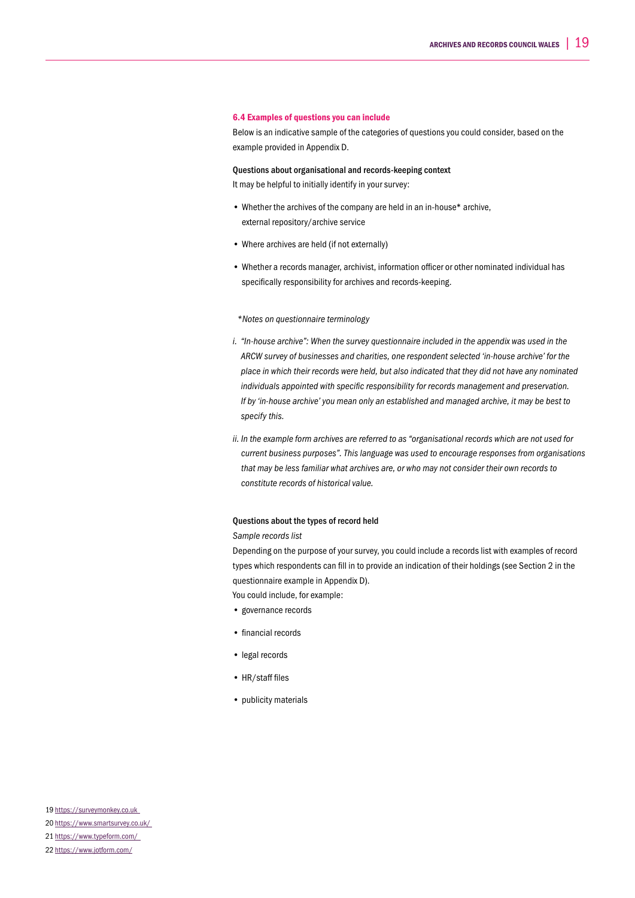#### 6.4 Examples of questions you can include

Below is an indicative sample of the categories of questions you could consider, based on the example provided in Appendix D.

#### Questions about organisational and records-keeping context

It may be helpful to initially identify in your survey:

- Whether the archives of the company are held in an in-house\* archive, external repository/archive service
- Where archives are held (if not externally)
- Whether a records manager, archivist, information officer or other nominated individual has specifically responsibility for archives and records-keeping.

#### *\*Notes on questionnaire terminology*

- *i. "In-house archive": When the survey questionnaire included in the appendix was used in the ARCW survey of businesses and charities, one respondent selected 'in-house archive' for the place in which their records were held, but also indicated that they did not have any nominated individuals appointed with specific responsibility for records management and preservation. If by 'in-house archive' you mean only an established and managed archive, it may be best to specify this.*
- *ii. In the example form archives are referred to as "organisational records which are not used for current business purposes". This language was used to encourage responses from organisations that may be less familiar what archives are, or who may not consider their own records to constitute records of historical value.*

### Questions about the types of record held

### *Sample records list*

Depending on the purpose of your survey, you could include a records list with examples of record types which respondents can fill in to provide an indication of their holdings (see Section 2 in the questionnaire example in Appendix D).

- You could include, for example:
- governance records
- financial records
- legal records
- HR/staff files
- publicity materials

## 21 https://www.typeform.com/

<sup>22</sup> https://www.jotform.com/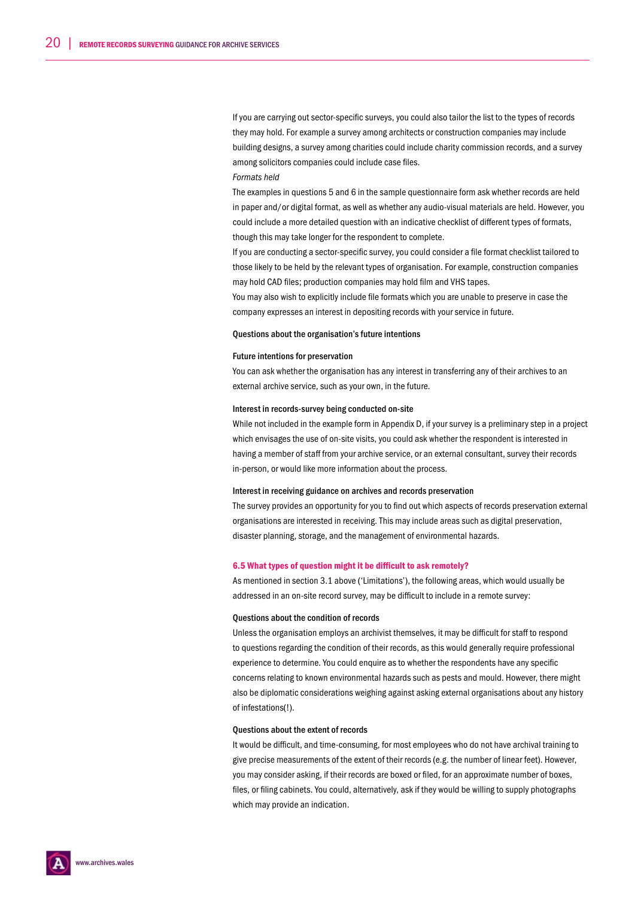If you are carrying out sector-specific surveys, you could also tailor the list to the types of records they may hold. For example a survey among architects or construction companies may include building designs, a survey among charities could include charity commission records, and a survey among solicitors companies could include case files.

#### *Formats held*

The examples in questions 5 and 6 in the sample questionnaire form ask whether records are held in paper and/or digital format, as well as whether any audio-visual materials are held. However, you could include a more detailed question with an indicative checklist of different types of formats, though this may take longer for the respondent to complete.

If you are conducting a sector-specific survey, you could consider a file format checklist tailored to those likely to be held by the relevant types of organisation. For example, construction companies may hold CAD files; production companies may hold film and VHS tapes.

You may also wish to explicitly include file formats which you are unable to preserve in case the company expresses an interest in depositing records with your service in future.

#### Questions about the organisation's future intentions

#### Future intentions for preservation

You can ask whether the organisation has any interest in transferring any of their archives to an external archive service, such as your own, in the future.

#### Interest in records-survey being conducted on-site

While not included in the example form in Appendix D, if your survey is a preliminary step in a project which envisages the use of on-site visits, you could ask whether the respondent is interested in having a member of staff from your archive service, or an external consultant, survey their records in-person, or would like more information about the process.

#### Interest in receiving guidance on archives and records preservation

The survey provides an opportunity for you to find out which aspects of records preservation external organisations are interested in receiving. This may include areas such as digital preservation, disaster planning, storage, and the management of environmental hazards.

#### 6.5 What types of question might it be difficult to ask remotely?

As mentioned in section 3.1 above ('Limitations'), the following areas, which would usually be addressed in an on-site record survey, may be difficult to include in a remote survey:

#### Questions about the condition of records

Unless the organisation employs an archivist themselves, it may be difficult for staff to respond to questions regarding the condition of their records, as this would generally require professional experience to determine. You could enquire as to whether the respondents have any specific concerns relating to known environmental hazards such as pests and mould. However, there might also be diplomatic considerations weighing against asking external organisations about any history of infestations(!).

#### Questions about the extent of records

It would be difficult, and time-consuming, for most employees who do not have archival training to give precise measurements of the extent of their records (e.g. the number of linear feet). However, you may consider asking, if their records are boxed or filed, for an approximate number of boxes, files, or filing cabinets. You could, alternatively, ask if they would be willing to supply photographs which may provide an indication.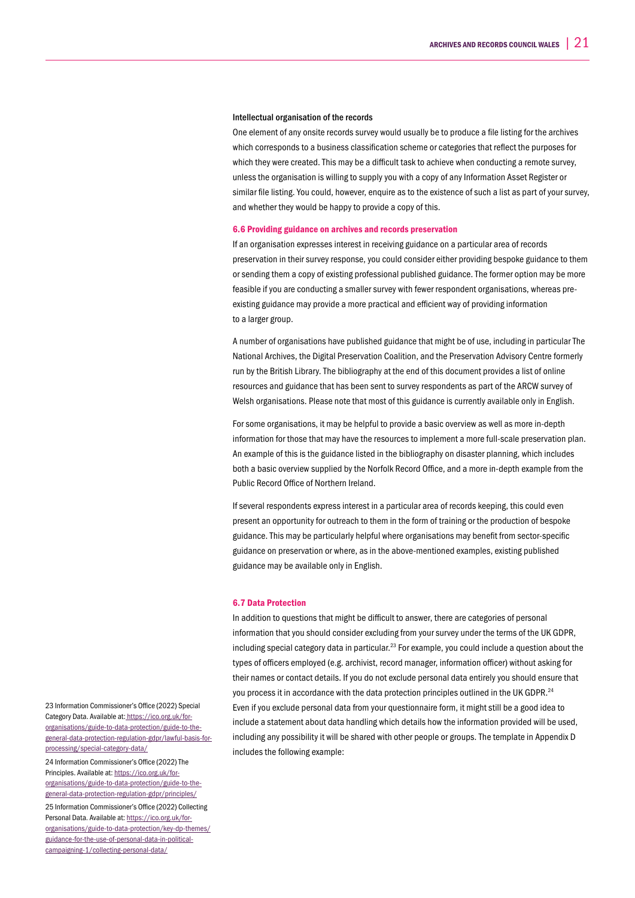#### Intellectual organisation of the records

One element of any onsite records survey would usually be to produce a file listing for the archives which corresponds to a business classification scheme or categories that reflect the purposes for which they were created. This may be a difficult task to achieve when conducting a remote survey, unless the organisation is willing to supply you with a copy of any Information Asset Register or similar file listing. You could, however, enquire as to the existence of such a list as part of your survey, and whether they would be happy to provide a copy of this.

#### 6.6 Providing guidance on archives and records preservation

If an organisation expresses interest in receiving guidance on a particular area of records preservation in their survey response, you could consider either providing bespoke guidance to them or sending them a copy of existing professional published guidance. The former option may be more feasible if you are conducting a smaller survey with fewer respondent organisations, whereas preexisting guidance may provide a more practical and efficient way of providing information to a larger group.

A number of organisations have published guidance that might be of use, including in particular The National Archives, the Digital Preservation Coalition, and the Preservation Advisory Centre formerly run by the British Library. The bibliography at the end of this document provides a list of online resources and guidance that has been sent to survey respondents as part of the ARCW survey of Welsh organisations. Please note that most of this guidance is currently available only in English.

For some organisations, it may be helpful to provide a basic overview as well as more in-depth information for those that may have the resources to implement a more full-scale preservation plan. An example of this is the guidance listed in the bibliography on disaster planning, which includes both a basic overview supplied by the Norfolk Record Office, and a more in-depth example from the Public Record Office of Northern Ireland.

If several respondents express interest in a particular area of records keeping, this could even present an opportunity for outreach to them in the form of training or the production of bespoke guidance. This may be particularly helpful where organisations may benefit from sector-specific guidance on preservation or where, as in the above-mentioned examples, existing published guidance may be available only in English.

#### 6.7 Data Protection

In addition to questions that might be difficult to answer, there are categories of personal information that you should consider excluding from your survey under the terms of the UK GDPR, including special category data in particular.<sup>23</sup> For example, you could include a question about the types of officers employed (e.g. archivist, record manager, information officer) without asking for their names or contact details. If you do not exclude personal data entirely you should ensure that you process it in accordance with the data protection principles outlined in the UK GDPR.<sup>24</sup> Even if you exclude personal data from your questionnaire form, it might still be a good idea to include a statement about data handling which details how the information provided will be used, including any possibility it will be shared with other people or groups. The template in Appendix D includes the following example:

23 Information Commissioner's Office (2022) Special Category Data. Available at: https://ico.org.uk/fororganisations/guide-to-data-protection/guide-to-thegeneral-data-protection-regulation-gdpr/lawful-basis-forprocessing/special-category-data/ 24 Information Commissioner's Office (2022) The Principles. Available at: https://ico.org.uk/fororganisations/guide-to-data-protection/guide-to-thegeneral-data-protection-regulation-gdpr/principles/ 25 Information Commissioner's Office (2022) Collecting Personal Data. Available at: https://ico.org.uk/fororganisations/guide-to-data-protection/key-dp-themes/ guidance-for-the-use-of-personal-data-in-politicalcampaigning-1/collecting-personal-data/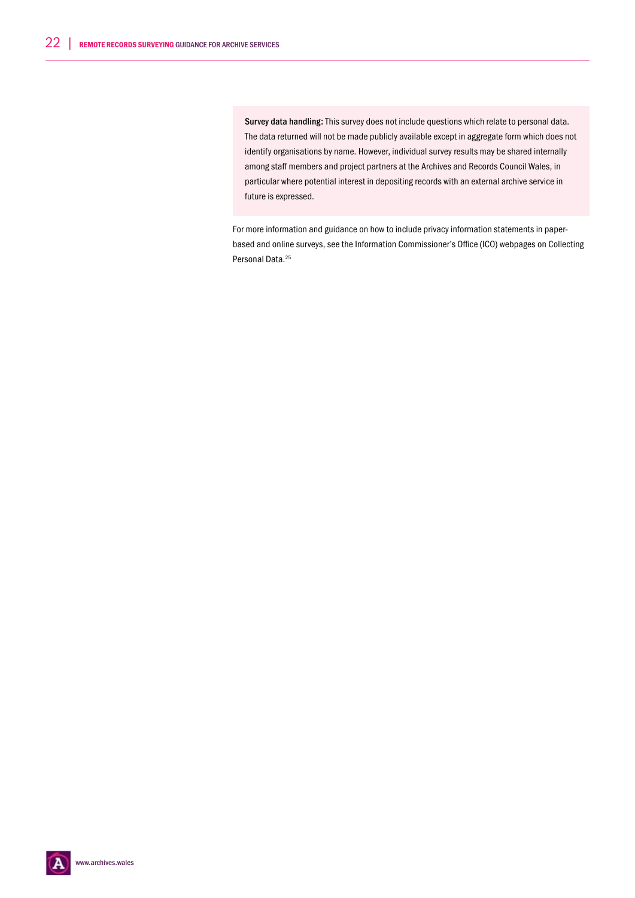Survey data handling: This survey does not include questions which relate to personal data. The data returned will not be made publicly available except in aggregate form which does not identify organisations by name. However, individual survey results may be shared internally among staff members and project partners at the Archives and Records Council Wales, in particular where potential interest in depositing records with an external archive service in future is expressed.

For more information and guidance on how to include privacy information statements in paperbased and online surveys, see the Information Commissioner's Office (ICO) webpages on Collecting Personal Data.<sup>25</sup>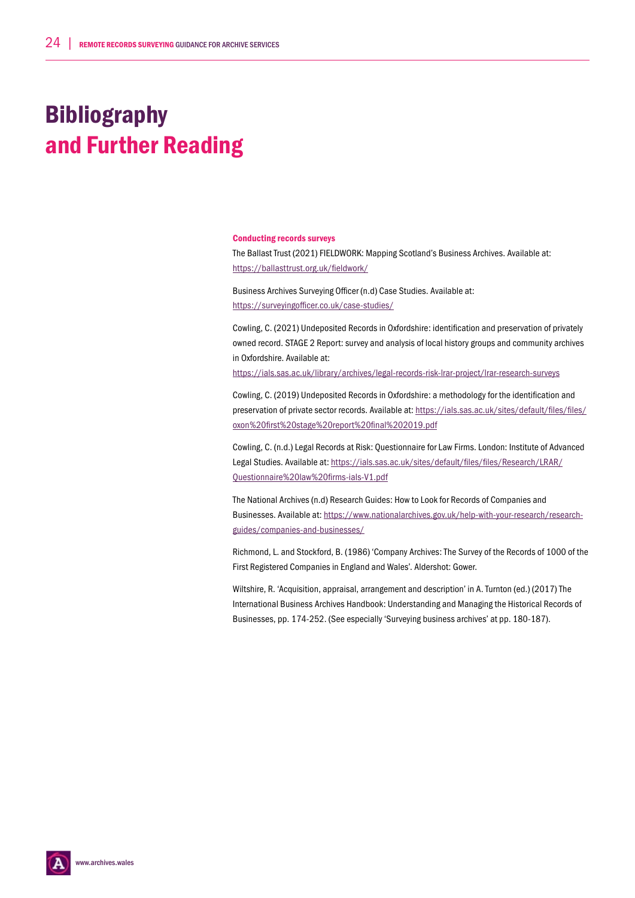# Bibliography and Further Reading

#### Conducting records surveys

The Ballast Trust (2021) FIELDWORK: Mapping Scotland's Business Archives. Available at: https://ballasttrust.org.uk/fieldwork/

Business Archives Surveying Officer (n.d) Case Studies. Available at: https://surveyingofficer.co.uk/case-studies/

Cowling, C. (2021) Undeposited Records in Oxfordshire: identification and preservation of privately owned record. STAGE 2 Report: survey and analysis of local history groups and community archives in Oxfordshire. Available at:

https://ials.sas.ac.uk/library/archives/legal-records-risk-lrar-project/lrar-research-surveys

Cowling, C. (2019) Undeposited Records in Oxfordshire: a methodology for the identification and preservation of private sector records. Available at: https://ials.sas.ac.uk/sites/default/files/files/ oxon%20first%20stage%20report%20final%202019.pdf

Cowling, C. (n.d.) Legal Records at Risk: Questionnaire for Law Firms. London: Institute of Advanced Legal Studies. Available at: https://ials.sas.ac.uk/sites/default/files/files/Research/LRAR/ Questionnaire%20law%20firms-ials-V1.pdf

The National Archives (n.d) Research Guides: How to Look for Records of Companies and Businesses. Available at: https://www.nationalarchives.gov.uk/help-with-your-research/researchguides/companies-and-businesses/

Richmond, L. and Stockford, B. (1986) 'Company Archives: The Survey of the Records of 1000 of the First Registered Companies in England and Wales'. Aldershot: Gower.

Wiltshire, R. 'Acquisition, appraisal, arrangement and description' in A. Turnton (ed.) (2017) The International Business Archives Handbook: Understanding and Managing the Historical Records of Businesses, pp. 174-252. (See especially 'Surveying business archives' at pp. 180-187).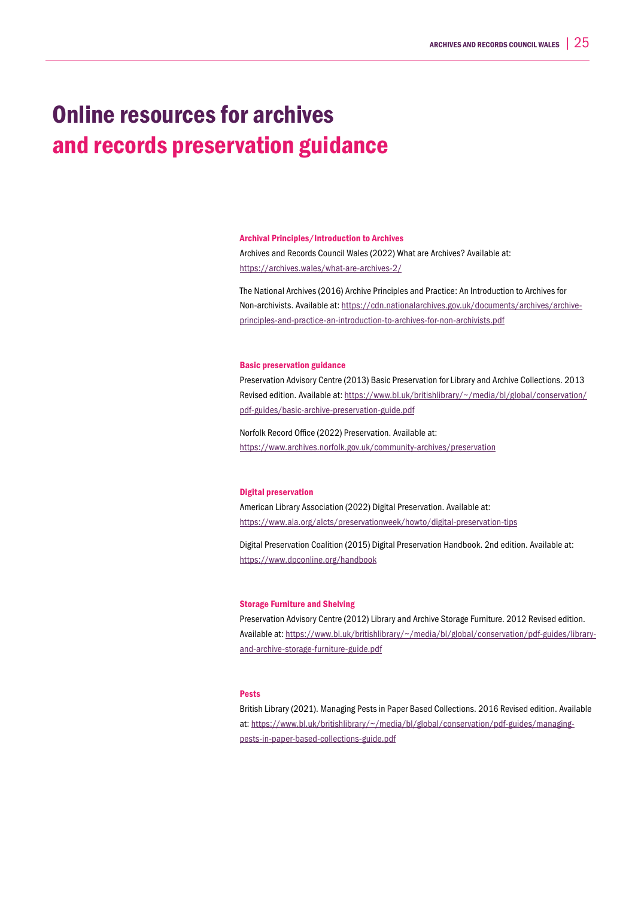## Online resources for archives and records preservation guidance

#### Archival Principles/Introduction to Archives

Archives and Records Council Wales (2022) What are Archives? Available at: https://archives.wales/what-are-archives-2/

The National Archives (2016) Archive Principles and Practice: An Introduction to Archives for Non-archivists. Available at: https://cdn.nationalarchives.gov.uk/documents/archives/archiveprinciples-and-practice-an-introduction-to-archives-for-non-archivists.pdf

#### Basic preservation guidance

Preservation Advisory Centre (2013) Basic Preservation for Library and Archive Collections. 2013 Revised edition. Available at: https://www.bl.uk/britishlibrary/~/media/bl/global/conservation/ pdf-guides/basic-archive-preservation-guide.pdf

Norfolk Record Office (2022) Preservation. Available at: https://www.archives.norfolk.gov.uk/community-archives/preservation

#### Digital preservation

American Library Association (2022) Digital Preservation. Available at: https://www.ala.org/alcts/preservationweek/howto/digital-preservation-tips

Digital Preservation Coalition (2015) Digital Preservation Handbook. 2nd edition. Available at: https://www.dpconline.org/handbook

#### Storage Furniture and Shelving

Preservation Advisory Centre (2012) Library and Archive Storage Furniture. 2012 Revised edition. Available at: https://www.bl.uk/britishlibrary/~/media/bl/global/conservation/pdf-guides/libraryand-archive-storage-furniture-guide.pdf

### **Pests**

British Library (2021). Managing Pests in Paper Based Collections. 2016 Revised edition. Available at: https://www.bl.uk/britishlibrary/~/media/bl/global/conservation/pdf-guides/managingpests-in-paper-based-collections-guide.pdf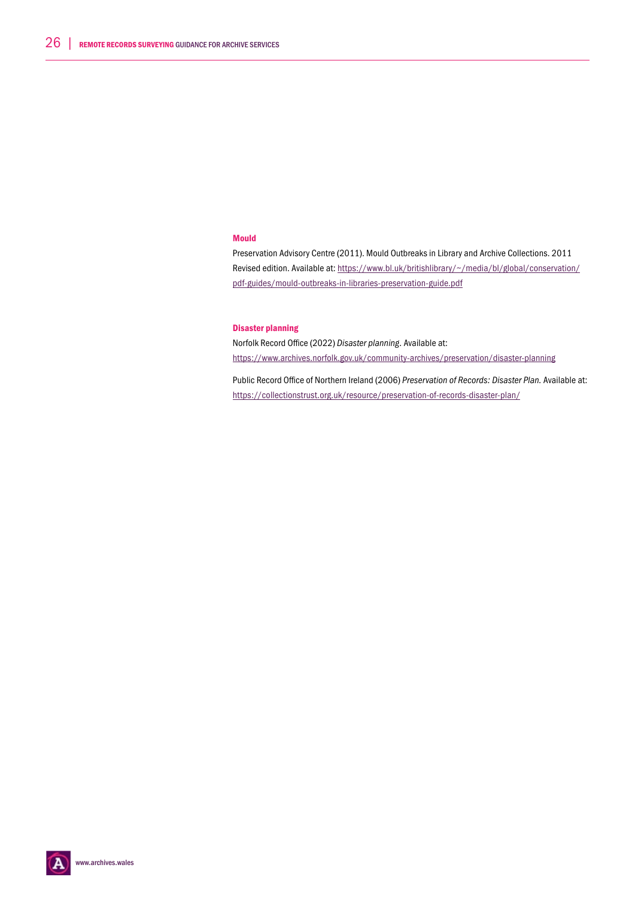### Mould

Preservation Advisory Centre (2011). Mould Outbreaks in Library and Archive Collections. 2011 Revised edition. Available at: https://www.bl.uk/britishlibrary/~/media/bl/global/conservation/ pdf-guides/mould-outbreaks-in-libraries-preservation-guide.pdf

### Disaster planning

Norfolk Record Office (2022) *Disaster planning*. Available at: https://www.archives.norfolk.gov.uk/community-archives/preservation/disaster-planning

Public Record Office of Northern Ireland (2006) *Preservation of Records: Disaster Plan.* Available at: https://collectionstrust.org.uk/resource/preservation-of-records-disaster-plan/

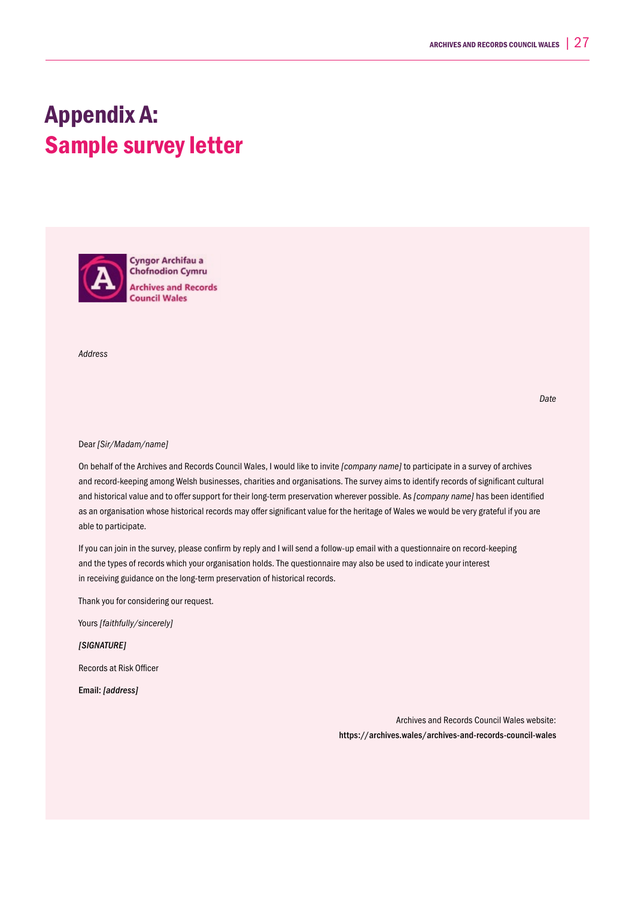## Appendix A: Sample survey letter

**Cyngor Archifau a Chofnodion Cymru Archives and Records Council Wales** 

*Address*

*Date*

#### Dear *[Sir/Madam/name]*

On behalf of the Archives and Records Council Wales, I would like to invite *[company name]* to participate in a survey of archives and record-keeping among Welsh businesses, charities and organisations. The survey aims to identify records of significant cultural and historical value and to offer support for their long-term preservation wherever possible. As *[company name]* has been identified as an organisation whose historical records may offer significant value for the heritage of Wales we would be very grateful if you are able to participate.

If you can join in the survey, please confirm by reply and I will send a follow-up email with a questionnaire on record-keeping and the types of records which your organisation holds. The questionnaire may also be used to indicate your interest in receiving guidance on the long-term preservation of historical records.

Thank you for considering our request.

Yours *[faithfully/sincerely]*

*[SIGNATURE]* 

Records at Risk Officer

Email: *[address]*

Archives and Records Council Wales website: https://archives.wales/archives-and-records-council-wales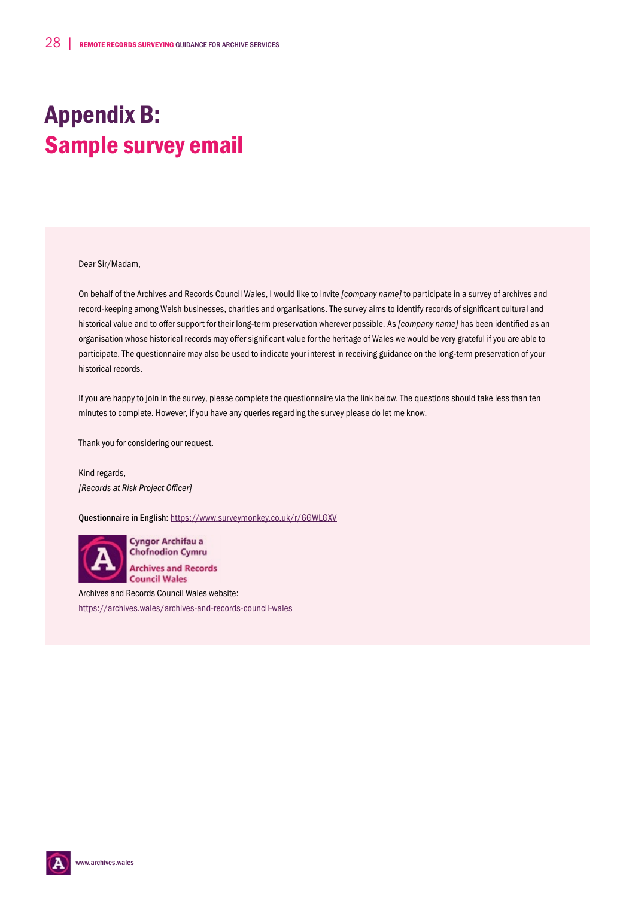# Appendix B: Sample survey email

Dear Sir/Madam,

On behalf of the Archives and Records Council Wales, I would like to invite *[company name]* to participate in a survey of archives and record-keeping among Welsh businesses, charities and organisations. The survey aims to identify records of significant cultural and historical value and to offer support for their long-term preservation wherever possible. As *[company name]* has been identified as an organisation whose historical records may offer significant value for the heritage of Wales we would be very grateful if you are able to participate. The questionnaire may also be used to indicate your interest in receiving guidance on the long-term preservation of your historical records.

If you are happy to join in the survey, please complete the questionnaire via the link below. The questions should take less than ten minutes to complete. However, if you have any queries regarding the survey please do let me know.

Thank you for considering our request.

Kind regards, *[Records at Risk Project Officer]*

Questionnaire in English: https://www.surveymonkey.co.uk/r/6GWLGXV



Cyngor Archifau a **Chofnodion Cymru Archives and Records Council Wales** 

Archives and Records Council Wales website: https://archives.wales/archives-and-records-council-wales

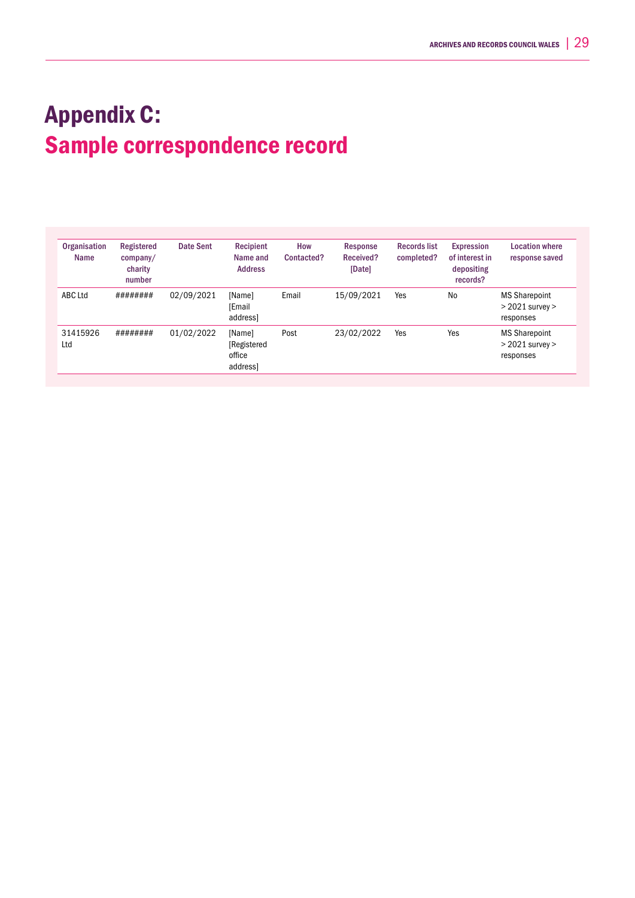# Appendix C: Sample correspondence record

| Organisation<br>Name | Registered<br>company/<br>charity<br>number | Date Sent  | Recipient<br>Name and<br><b>Address</b>     | How<br>Contacted? | Response<br>Received?<br>[Date] | <b>Records list</b><br>completed? | <b>Expression</b><br>of interest in<br>depositing<br>records? | <b>Location where</b><br>response saved                  |
|----------------------|---------------------------------------------|------------|---------------------------------------------|-------------------|---------------------------------|-----------------------------------|---------------------------------------------------------------|----------------------------------------------------------|
| ABC Ltd              | ########                                    | 02/09/2021 | [Name]<br>[Email<br>address]                | Email             | 15/09/2021                      | Yes                               | <b>No</b>                                                     | <b>MS Sharepoint</b><br>$>$ 2021 survey $>$<br>responses |
| 31415926<br>Ltd      | ########                                    | 01/02/2022 | [Name]<br>[Registered<br>office<br>address] | Post              | 23/02/2022                      | Yes                               | Yes                                                           | <b>MS Sharepoint</b><br>$>$ 2021 survey $>$<br>responses |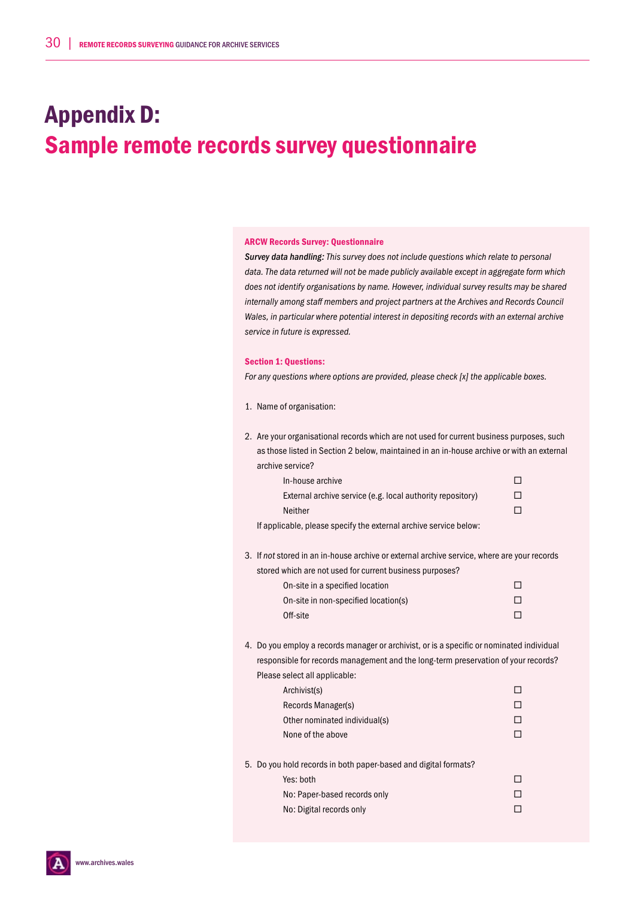# Appendix D: Sample remote records survey questionnaire

#### ARCW Records Survey: Questionnaire

*Survey data handling: This survey does not include questions which relate to personal data. The data returned will not be made publicly available except in aggregate form which does not identify organisations by name. However, individual survey results may be shared internally among staff members and project partners at the Archives and Records Council Wales, in particular where potential interest in depositing records with an external archive service in future is expressed.* 

#### Section 1: Questions:

*For any questions where options are provided, please check [x] the applicable boxes.* 

- 1. Name of organisation:
- 2. Are your organisational records which are not used for current business purposes, such as those listed in Section 2 below, maintained in an in-house archive or with an external archive service?

| In-house archive                                           |              |
|------------------------------------------------------------|--------------|
| External archive service (e.g. local authority repository) | $\mathsf{L}$ |
| Neither                                                    |              |
|                                                            |              |

If applicable, please specify the external archive service below:

3. If *not* stored in an in-house archive or external archive service, where are your records stored which are not used for current business

| ed which are not used for current business purposes? |   |
|------------------------------------------------------|---|
| On-site in a specified location                      |   |
| On-site in non-specified location(s)                 | П |
| Off-site                                             |   |
|                                                      |   |

4. Do you employ a records manager or archivist, or is a specific or nominated individual responsible for records management and the long-term preservation of your records? Please select all applicable:

| Archivist(s)                  |  |
|-------------------------------|--|
| Records Manager(s)            |  |
| Other nominated individual(s) |  |
| None of the above             |  |
|                               |  |

- 5. Do you hold records in both paper-based and digital formats?
	- $Yes: both$
	- No: Paper-based records only  $\square$ No: Digital records only  $\square$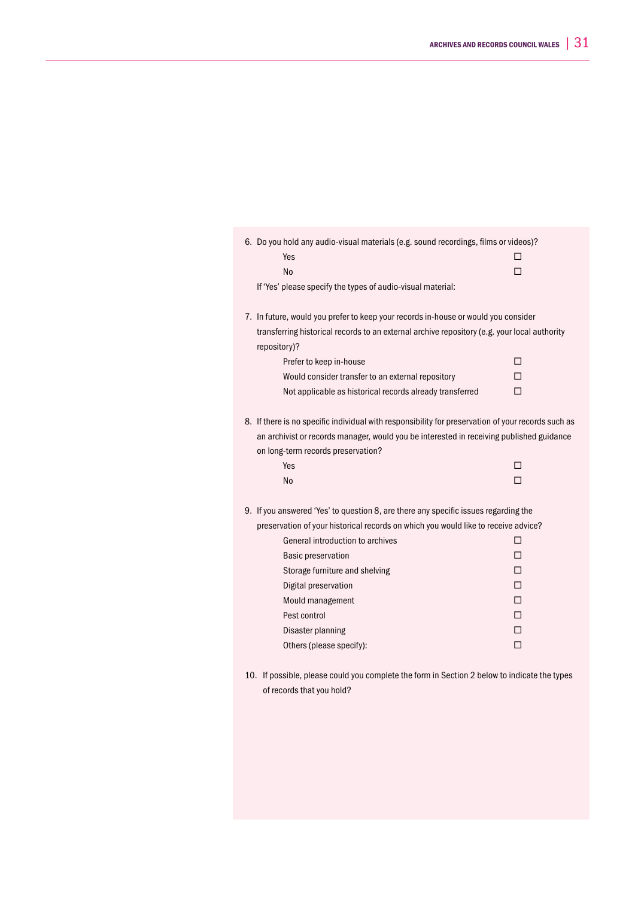| 6. Do you hold any audio-visual materials (e.g. sound recordings, films or videos)?                          |   |
|--------------------------------------------------------------------------------------------------------------|---|
| Yes                                                                                                          | п |
| <b>No</b>                                                                                                    | П |
| If 'Yes' please specify the types of audio-visual material:                                                  |   |
| 7. In future, would you prefer to keep your records in-house or would you consider                           |   |
| transferring historical records to an external archive repository (e.g. your local authority<br>repository)? |   |
| Prefer to keep in-house                                                                                      | п |
| Would consider transfer to an external repository                                                            | п |
| Not applicable as historical records already transferred                                                     | П |
| 8. If there is no specific individual with responsibility for preservation of your records such as           |   |
| an archivist or records manager, would you be interested in receiving published guidance                     |   |
| on long-term records preservation?                                                                           |   |
| Yes                                                                                                          | п |
| No                                                                                                           | П |
| 9. If you answered 'Yes' to question 8, are there any specific issues regarding the                          |   |
| preservation of your historical records on which you would like to receive advice?                           |   |
| General introduction to archives                                                                             | п |
| <b>Basic preservation</b>                                                                                    | п |
| Storage furniture and shelving                                                                               | п |
| Digital preservation                                                                                         | п |
| Mould management                                                                                             | П |
| Pest control                                                                                                 | п |
| Disaster planning                                                                                            | п |
| Others (please specify):                                                                                     | П |
|                                                                                                              |   |

10. If possible, please could you complete the form in Section 2 below to indicate the types of records that you hold?